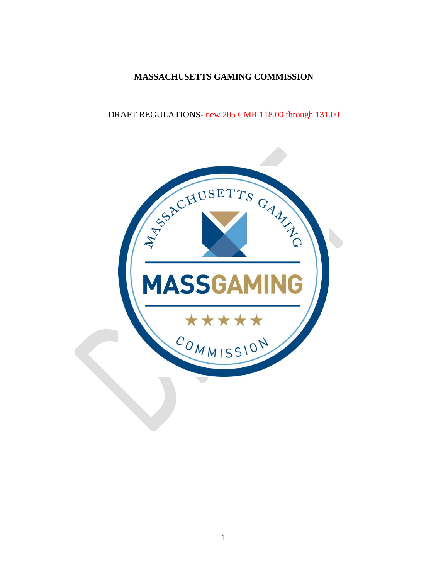# **MASSACHUSETTS GAMING COMMISSION**

# DRAFT REGULATIONS- new 205 CMR 118.00 through 131.00

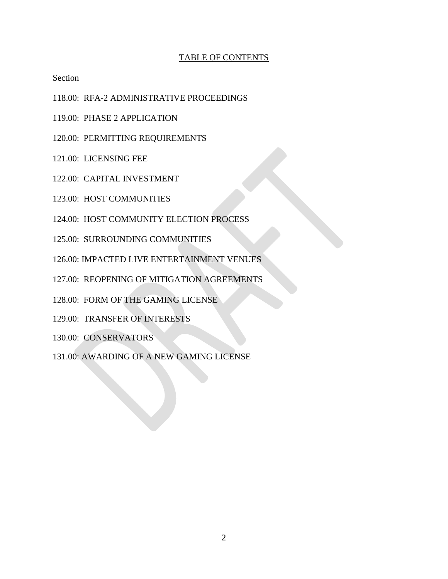### TABLE OF CONTENTS

Section

- 118.00: RFA-2 ADMINISTRATIVE PROCEEDINGS
- 119.00: PHASE 2 APPLICATION
- 120.00: PERMITTING REQUIREMENTS
- 121.00: LICENSING FEE
- 122.00: CAPITAL INVESTMENT
- 123.00: HOST COMMUNITIES
- 124.00: HOST COMMUNITY ELECTION PROCESS
- 125.00: SURROUNDING COMMUNITIES
- 126.00: IMPACTED LIVE ENTERTAINMENT VENUES
- 127.00: REOPENING OF MITIGATION AGREEMENTS
- 128.00: FORM OF THE GAMING LICENSE
- 129.00: TRANSFER OF INTERESTS
- 130.00: CONSERVATORS
- 131.00: AWARDING OF A NEW GAMING LICENSE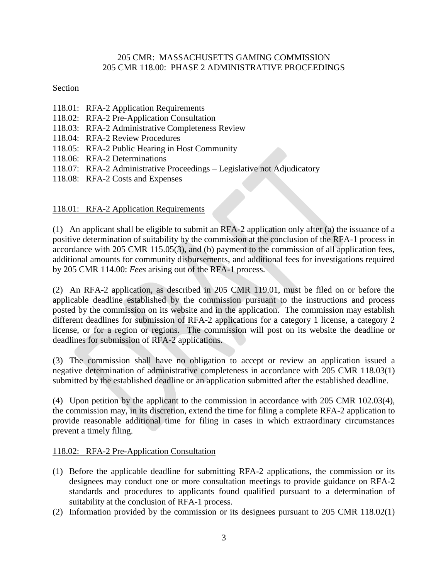### 205 CMR: MASSACHUSETTS GAMING COMMISSION 205 CMR 118.00: PHASE 2 ADMINISTRATIVE PROCEEDINGS

### Section

- 118.01: RFA-2 Application Requirements
- 118.02: RFA-2 Pre-Application Consultation
- 118.03: RFA-2 Administrative Completeness Review
- 118.04: RFA-2 Review Procedures
- 118.05: RFA-2 Public Hearing in Host Community
- 118.06: RFA-2 Determinations
- 118.07: RFA-2 Administrative Proceedings Legislative not Adjudicatory
- 118.08: RFA-2 Costs and Expenses

# 118.01: RFA-2 Application Requirements

(1) An applicant shall be eligible to submit an RFA-2 application only after (a) the issuance of a positive determination of suitability by the commission at the conclusion of the RFA-1 process in accordance with 205 CMR 115.05(3), and (b) payment to the commission of all application fees, additional amounts for community disbursements, and additional fees for investigations required by 205 CMR 114.00: *Fees* arising out of the RFA-1 process.

(2) An RFA-2 application, as described in 205 CMR 119.01, must be filed on or before the applicable deadline established by the commission pursuant to the instructions and process posted by the commission on its website and in the application. The commission may establish different deadlines for submission of RFA-2 applications for a category 1 license, a category 2 license, or for a region or regions. The commission will post on its website the deadline or deadlines for submission of RFA-2 applications.

(3) The commission shall have no obligation to accept or review an application issued a negative determination of administrative completeness in accordance with 205 CMR 118.03(1) submitted by the established deadline or an application submitted after the established deadline.

(4) Upon petition by the applicant to the commission in accordance with 205 CMR 102.03(4), the commission may, in its discretion, extend the time for filing a complete RFA-2 application to provide reasonable additional time for filing in cases in which extraordinary circumstances prevent a timely filing.

## 118.02: RFA-2 Pre-Application Consultation

- (1) Before the applicable deadline for submitting RFA-2 applications, the commission or its designees may conduct one or more consultation meetings to provide guidance on RFA-2 standards and procedures to applicants found qualified pursuant to a determination of suitability at the conclusion of RFA-1 process.
- (2) Information provided by the commission or its designees pursuant to 205 CMR 118.02(1)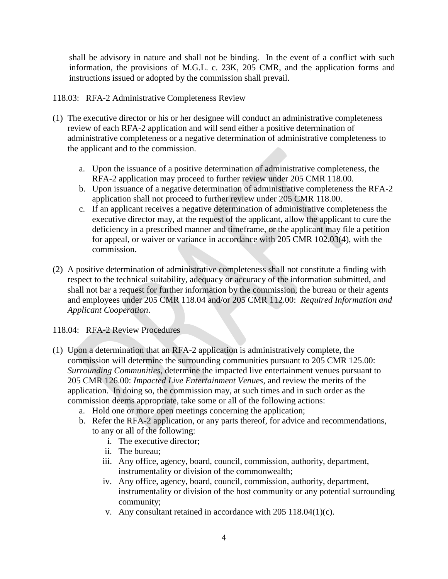shall be advisory in nature and shall not be binding. In the event of a conflict with such information, the provisions of M.G.L. c. 23K, 205 CMR, and the application forms and instructions issued or adopted by the commission shall prevail.

### 118.03: RFA-2 Administrative Completeness Review

- (1) The executive director or his or her designee will conduct an administrative completeness review of each RFA-2 application and will send either a positive determination of administrative completeness or a negative determination of administrative completeness to the applicant and to the commission.
	- a. Upon the issuance of a positive determination of administrative completeness, the RFA-2 application may proceed to further review under 205 CMR 118.00.
	- b. Upon issuance of a negative determination of administrative completeness the RFA-2 application shall not proceed to further review under 205 CMR 118.00.
	- c. If an applicant receives a negative determination of administrative completeness the executive director may, at the request of the applicant, allow the applicant to cure the deficiency in a prescribed manner and timeframe, or the applicant may file a petition for appeal, or waiver or variance in accordance with 205 CMR 102.03(4), with the commission.
- (2) A positive determination of administrative completeness shall not constitute a finding with respect to the technical suitability, adequacy or accuracy of the information submitted, and shall not bar a request for further information by the commission, the bureau or their agents and employees under 205 CMR 118.04 and/or 205 CMR 112.00: *Required Information and Applicant Cooperation*.

## 118.04: RFA-2 Review Procedures

- (1) Upon a determination that an RFA-2 application is administratively complete, the commission will determine the surrounding communities pursuant to 205 CMR 125.00: *Surrounding Communities*, determine the impacted live entertainment venues pursuant to 205 CMR 126.00: *Impacted Live Entertainment Venues*, and review the merits of the application. In doing so, the commission may, at such times and in such order as the commission deems appropriate, take some or all of the following actions:
	- a. Hold one or more open meetings concerning the application;
	- b. Refer the RFA-2 application, or any parts thereof, for advice and recommendations, to any or all of the following:
		- i. The executive director;
		- ii. The bureau;
		- iii. Any office, agency, board, council, commission, authority, department, instrumentality or division of the commonwealth;
		- iv. Any office, agency, board, council, commission, authority, department, instrumentality or division of the host community or any potential surrounding community;
		- v. Any consultant retained in accordance with 205 118.04(1)(c).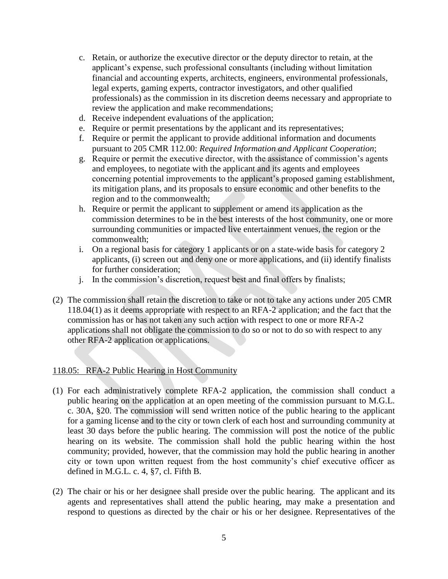- c. Retain, or authorize the executive director or the deputy director to retain, at the applicant"s expense, such professional consultants (including without limitation financial and accounting experts, architects, engineers, environmental professionals, legal experts, gaming experts, contractor investigators, and other qualified professionals) as the commission in its discretion deems necessary and appropriate to review the application and make recommendations;
- d. Receive independent evaluations of the application;
- e. Require or permit presentations by the applicant and its representatives;
- f. Require or permit the applicant to provide additional information and documents pursuant to 205 CMR 112.00: *Required Information and Applicant Cooperation*;
- g. Require or permit the executive director, with the assistance of commission"s agents and employees, to negotiate with the applicant and its agents and employees concerning potential improvements to the applicant's proposed gaming establishment, its mitigation plans, and its proposals to ensure economic and other benefits to the region and to the commonwealth;
- h. Require or permit the applicant to supplement or amend its application as the commission determines to be in the best interests of the host community, one or more surrounding communities or impacted live entertainment venues, the region or the commonwealth;
- i. On a regional basis for category 1 applicants or on a state-wide basis for category 2 applicants, (i) screen out and deny one or more applications, and (ii) identify finalists for further consideration;
- j. In the commission"s discretion, request best and final offers by finalists;
- (2) The commission shall retain the discretion to take or not to take any actions under 205 CMR 118.04(1) as it deems appropriate with respect to an RFA-2 application; and the fact that the commission has or has not taken any such action with respect to one or more RFA-2 applications shall not obligate the commission to do so or not to do so with respect to any other RFA-2 application or applications.

## 118.05: RFA-2 Public Hearing in Host Community

- (1) For each administratively complete RFA-2 application, the commission shall conduct a public hearing on the application at an open meeting of the commission pursuant to M.G.L. c. 30A, §20. The commission will send written notice of the public hearing to the applicant for a gaming license and to the city or town clerk of each host and surrounding community at least 30 days before the public hearing. The commission will post the notice of the public hearing on its website. The commission shall hold the public hearing within the host community; provided, however, that the commission may hold the public hearing in another city or town upon written request from the host community"s chief executive officer as defined in M.G.L. c. 4, §7, cl. Fifth B.
- (2) The chair or his or her designee shall preside over the public hearing. The applicant and its agents and representatives shall attend the public hearing, may make a presentation and respond to questions as directed by the chair or his or her designee. Representatives of the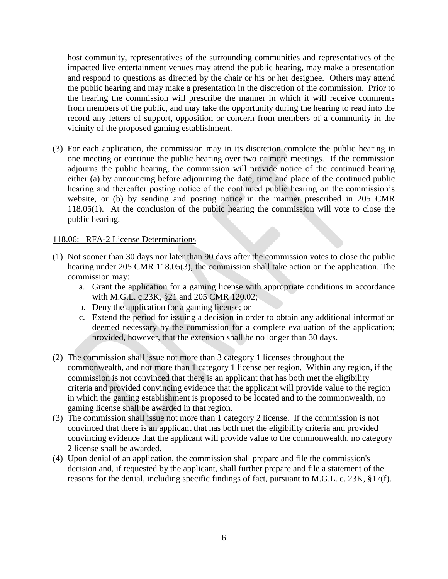host community, representatives of the surrounding communities and representatives of the impacted live entertainment venues may attend the public hearing, may make a presentation and respond to questions as directed by the chair or his or her designee. Others may attend the public hearing and may make a presentation in the discretion of the commission. Prior to the hearing the commission will prescribe the manner in which it will receive comments from members of the public, and may take the opportunity during the hearing to read into the record any letters of support, opposition or concern from members of a community in the vicinity of the proposed gaming establishment.

(3) For each application, the commission may in its discretion complete the public hearing in one meeting or continue the public hearing over two or more meetings. If the commission adjourns the public hearing, the commission will provide notice of the continued hearing either (a) by announcing before adjourning the date, time and place of the continued public hearing and thereafter posting notice of the continued public hearing on the commission's website, or (b) by sending and posting notice in the manner prescribed in 205 CMR 118.05(1). At the conclusion of the public hearing the commission will vote to close the public hearing.

#### 118.06: RFA-2 License Determinations

- (1) Not sooner than 30 days nor later than 90 days after the commission votes to close the public hearing under 205 CMR 118.05(3), the commission shall take action on the application. The commission may:
	- a. Grant the application for a gaming license with appropriate conditions in accordance with M.G.L. c.23K, §21 and 205 CMR 120.02;
	- b. Deny the application for a gaming license; or
	- c. Extend the period for issuing a decision in order to obtain any additional information deemed necessary by the commission for a complete evaluation of the application; provided, however, that the extension shall be no longer than 30 days.
- (2) The commission shall issue not more than 3 category 1 licenses throughout the commonwealth, and not more than 1 category 1 license per region. Within any region, if the commission is not convinced that there is an applicant that has both met the eligibility criteria and provided convincing evidence that the applicant will provide value to the region in which the gaming establishment is proposed to be located and to the commonwealth, no gaming license shall be awarded in that region.
- (3) The commission shall issue not more than 1 category 2 license. If the commission is not convinced that there is an applicant that has both met the eligibility criteria and provided convincing evidence that the applicant will provide value to the commonwealth, no category 2 license shall be awarded.
- (4) Upon denial of an application, the commission shall prepare and file the commission's decision and, if requested by the applicant, shall further prepare and file a statement of the reasons for the denial, including specific findings of fact, pursuant to M.G.L. c. 23K, §17(f).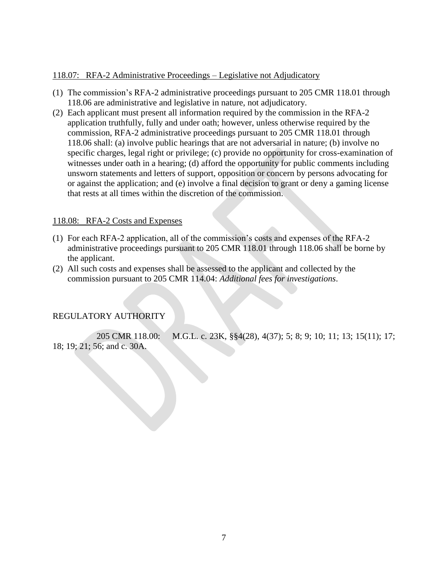### 118.07: RFA-2 Administrative Proceedings – Legislative not Adjudicatory

- (1) The commission"s RFA-2 administrative proceedings pursuant to 205 CMR 118.01 through 118.06 are administrative and legislative in nature, not adjudicatory.
- (2) Each applicant must present all information required by the commission in the RFA-2 application truthfully, fully and under oath; however, unless otherwise required by the commission, RFA-2 administrative proceedings pursuant to 205 CMR 118.01 through 118.06 shall: (a) involve public hearings that are not adversarial in nature; (b) involve no specific charges, legal right or privilege; (c) provide no opportunity for cross-examination of witnesses under oath in a hearing; (d) afford the opportunity for public comments including unsworn statements and letters of support, opposition or concern by persons advocating for or against the application; and (e) involve a final decision to grant or deny a gaming license that rests at all times within the discretion of the commission.

### 118.08: RFA-2 Costs and Expenses

- (1) For each RFA-2 application, all of the commission"s costs and expenses of the RFA-2 administrative proceedings pursuant to 205 CMR 118.01 through 118.06 shall be borne by the applicant.
- (2) All such costs and expenses shall be assessed to the applicant and collected by the commission pursuant to 205 CMR 114.04: *Additional fees for investigations*.

## REGULATORY AUTHORITY

205 CMR 118.00: M.G.L. c. 23K, §§4(28), 4(37); 5; 8; 9; 10; 11; 13; 15(11); 17; 18; 19; 21; 56; and c. 30A.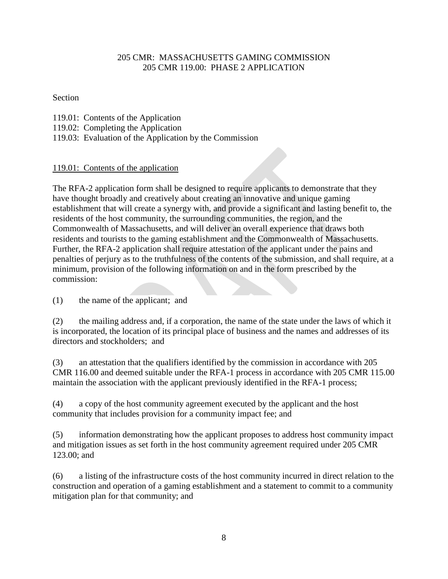## 205 CMR: MASSACHUSETTS GAMING COMMISSION 205 CMR 119.00: PHASE 2 APPLICATION

### Section

- 119.01: Contents of the Application
- 119.02: Completing the Application
- 119.03: Evaluation of the Application by the Commission

# 119.01: Contents of the application

The RFA-2 application form shall be designed to require applicants to demonstrate that they have thought broadly and creatively about creating an innovative and unique gaming establishment that will create a synergy with, and provide a significant and lasting benefit to, the residents of the host community, the surrounding communities, the region, and the Commonwealth of Massachusetts, and will deliver an overall experience that draws both residents and tourists to the gaming establishment and the Commonwealth of Massachusetts. Further, the RFA-2 application shall require attestation of the applicant under the pains and penalties of perjury as to the truthfulness of the contents of the submission, and shall require, at a minimum, provision of the following information on and in the form prescribed by the commission:

(1) the name of the applicant; and

(2) the mailing address and, if a corporation, the name of the state under the laws of which it is incorporated, the location of its principal place of business and the names and addresses of its directors and stockholders; and

(3) an attestation that the qualifiers identified by the commission in accordance with 205 CMR 116.00 and deemed suitable under the RFA-1 process in accordance with 205 CMR 115.00 maintain the association with the applicant previously identified in the RFA-1 process;

(4) a copy of the host community agreement executed by the applicant and the host community that includes provision for a community impact fee; and

(5) information demonstrating how the applicant proposes to address host community impact and mitigation issues as set forth in the host community agreement required under 205 CMR 123.00; and

(6) a listing of the infrastructure costs of the host community incurred in direct relation to the construction and operation of a gaming establishment and a statement to commit to a community mitigation plan for that community; and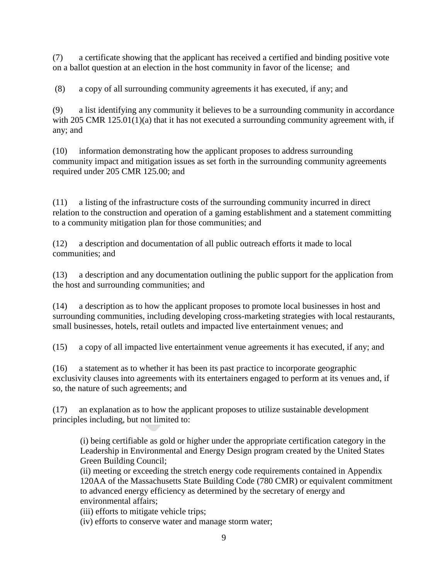(7) a certificate showing that the applicant has received a certified and binding positive vote on a ballot question at an election in the host community in favor of the license; and

(8) a copy of all surrounding community agreements it has executed, if any; and

(9) a list identifying any community it believes to be a surrounding community in accordance with 205 CMR 125.01(1)(a) that it has not executed a surrounding community agreement with, if any; and

(10) information demonstrating how the applicant proposes to address surrounding community impact and mitigation issues as set forth in the surrounding community agreements required under 205 CMR 125.00; and

(11) a listing of the infrastructure costs of the surrounding community incurred in direct relation to the construction and operation of a gaming establishment and a statement committing to a community mitigation plan for those communities; and

(12) a description and documentation of all public outreach efforts it made to local communities; and

(13) a description and any documentation outlining the public support for the application from the host and surrounding communities; and

(14) a description as to how the applicant proposes to promote local businesses in host and surrounding communities, including developing cross-marketing strategies with local restaurants, small businesses, hotels, retail outlets and impacted live entertainment venues; and

(15) a copy of all impacted live entertainment venue agreements it has executed, if any; and

(16) a statement as to whether it has been its past practice to incorporate geographic exclusivity clauses into agreements with its entertainers engaged to perform at its venues and, if so, the nature of such agreements; and

(17) an explanation as to how the applicant proposes to utilize sustainable development principles including, but not limited to:

(i) being certifiable as gold or higher under the appropriate certification category in the Leadership in Environmental and Energy Design program created by the United States Green Building Council;

(ii) meeting or exceeding the stretch energy code requirements contained in Appendix 120AA of the Massachusetts State Building Code (780 CMR) or equivalent commitment to advanced energy efficiency as determined by the secretary of energy and environmental affairs;

(iii) efforts to mitigate vehicle trips;

(iv) efforts to conserve water and manage storm water;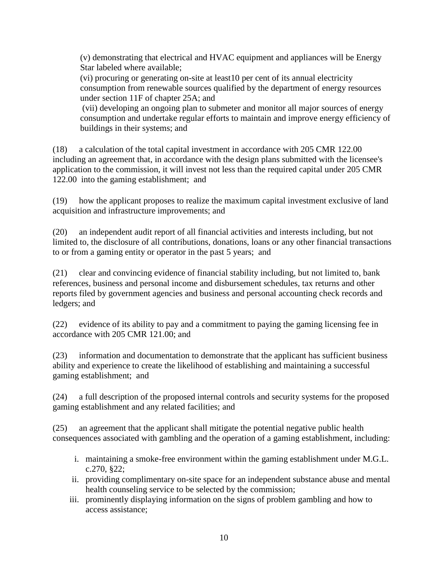(v) demonstrating that electrical and HVAC equipment and appliances will be Energy Star labeled where available;

(vi) procuring or generating on-site at least10 per cent of its annual electricity consumption from renewable sources qualified by the department of energy resources under section 11F of chapter 25A; and

(vii) developing an ongoing plan to submeter and monitor all major sources of energy consumption and undertake regular efforts to maintain and improve energy efficiency of buildings in their systems; and

(18) a calculation of the total capital investment in accordance with 205 CMR 122.00 including an agreement that, in accordance with the design plans submitted with the licensee's application to the commission, it will invest not less than the required capital under 205 CMR 122.00 into the gaming establishment; and

(19) how the applicant proposes to realize the maximum capital investment exclusive of land acquisition and infrastructure improvements; and

(20) an independent audit report of all financial activities and interests including, but not limited to, the disclosure of all contributions, donations, loans or any other financial transactions to or from a gaming entity or operator in the past 5 years; and

(21) clear and convincing evidence of financial stability including, but not limited to, bank references, business and personal income and disbursement schedules, tax returns and other reports filed by government agencies and business and personal accounting check records and ledgers; and

(22) evidence of its ability to pay and a commitment to paying the gaming licensing fee in accordance with 205 CMR 121.00; and

(23) information and documentation to demonstrate that the applicant has sufficient business ability and experience to create the likelihood of establishing and maintaining a successful gaming establishment; and

(24) a full description of the proposed internal controls and security systems for the proposed gaming establishment and any related facilities; and

(25) an agreement that the applicant shall mitigate the potential negative public health consequences associated with gambling and the operation of a gaming establishment, including:

- i. maintaining a smoke-free environment within the gaming establishment under M.G.L. c.270, §22;
- ii. providing complimentary on-site space for an independent substance abuse and mental health counseling service to be selected by the commission;
- iii. prominently displaying information on the signs of problem gambling and how to access assistance;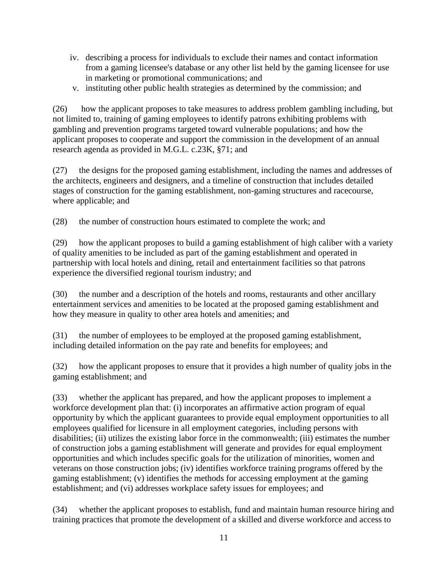- iv. describing a process for individuals to exclude their names and contact information from a gaming licensee's database or any other list held by the gaming licensee for use in marketing or promotional communications; and
- v. instituting other public health strategies as determined by the commission; and

(26) how the applicant proposes to take measures to address problem gambling including, but not limited to, training of gaming employees to identify patrons exhibiting problems with gambling and prevention programs targeted toward vulnerable populations; and how the applicant proposes to cooperate and support the commission in the development of an annual research agenda as provided in M.G.L. c.23K, §71; and

(27) the designs for the proposed gaming establishment, including the names and addresses of the architects, engineers and designers, and a timeline of construction that includes detailed stages of construction for the gaming establishment, non-gaming structures and racecourse, where applicable; and

(28) the number of construction hours estimated to complete the work; and

(29) how the applicant proposes to build a gaming establishment of high caliber with a variety of quality amenities to be included as part of the gaming establishment and operated in partnership with local hotels and dining, retail and entertainment facilities so that patrons experience the diversified regional tourism industry; and

(30) the number and a description of the hotels and rooms, restaurants and other ancillary entertainment services and amenities to be located at the proposed gaming establishment and how they measure in quality to other area hotels and amenities; and

(31) the number of employees to be employed at the proposed gaming establishment, including detailed information on the pay rate and benefits for employees; and

(32) how the applicant proposes to ensure that it provides a high number of quality jobs in the gaming establishment; and

(33) whether the applicant has prepared, and how the applicant proposes to implement a workforce development plan that: (i) incorporates an affirmative action program of equal opportunity by which the applicant guarantees to provide equal employment opportunities to all employees qualified for licensure in all employment categories, including persons with disabilities; (ii) utilizes the existing labor force in the commonwealth; (iii) estimates the number of construction jobs a gaming establishment will generate and provides for equal employment opportunities and which includes specific goals for the utilization of minorities, women and veterans on those construction jobs; (iv) identifies workforce training programs offered by the gaming establishment; (v) identifies the methods for accessing employment at the gaming establishment; and (vi) addresses workplace safety issues for employees; and

(34) whether the applicant proposes to establish, fund and maintain human resource hiring and training practices that promote the development of a skilled and diverse workforce and access to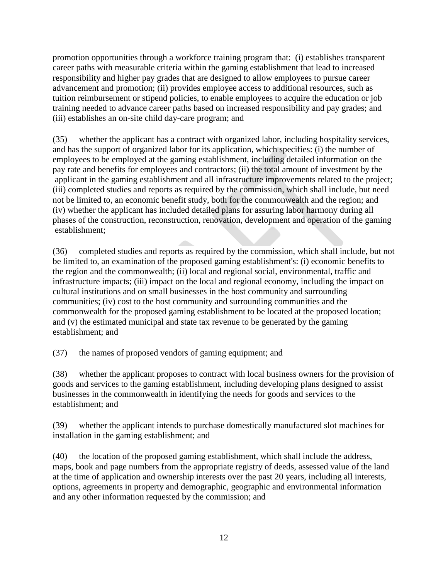promotion opportunities through a workforce training program that: (i) establishes transparent career paths with measurable criteria within the gaming establishment that lead to increased responsibility and higher pay grades that are designed to allow employees to pursue career advancement and promotion; (ii) provides employee access to additional resources, such as tuition reimbursement or stipend policies, to enable employees to acquire the education or job training needed to advance career paths based on increased responsibility and pay grades; and (iii) establishes an on-site child day-care program; and

(35) whether the applicant has a contract with organized labor, including hospitality services, and has the support of organized labor for its application, which specifies: (i) the number of employees to be employed at the gaming establishment, including detailed information on the pay rate and benefits for employees and contractors; (ii) the total amount of investment by the applicant in the gaming establishment and all infrastructure improvements related to the project; (iii) completed studies and reports as required by the commission, which shall include, but need not be limited to, an economic benefit study, both for the commonwealth and the region; and (iv) whether the applicant has included detailed plans for assuring labor harmony during all phases of the construction, reconstruction, renovation, development and operation of the gaming establishment;

(36) completed studies and reports as required by the commission, which shall include, but not be limited to, an examination of the proposed gaming establishment's: (i) economic benefits to the region and the commonwealth; (ii) local and regional social, environmental, traffic and infrastructure impacts; (iii) impact on the local and regional economy, including the impact on cultural institutions and on small businesses in the host community and surrounding communities; (iv) cost to the host community and surrounding communities and the commonwealth for the proposed gaming establishment to be located at the proposed location; and (v) the estimated municipal and state tax revenue to be generated by the gaming establishment; and

(37) the names of proposed vendors of gaming equipment; and

(38) whether the applicant proposes to contract with local business owners for the provision of goods and services to the gaming establishment, including developing plans designed to assist businesses in the commonwealth in identifying the needs for goods and services to the establishment; and

(39) whether the applicant intends to purchase domestically manufactured slot machines for installation in the gaming establishment; and

(40) the location of the proposed gaming establishment, which shall include the address, maps, book and page numbers from the appropriate registry of deeds, assessed value of the land at the time of application and ownership interests over the past 20 years, including all interests, options, agreements in property and demographic, geographic and environmental information and any other information requested by the commission; and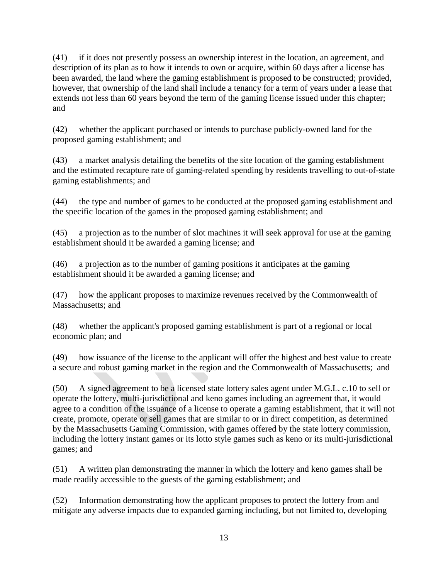(41) if it does not presently possess an ownership interest in the location, an agreement, and description of its plan as to how it intends to own or acquire, within 60 days after a license has been awarded, the land where the gaming establishment is proposed to be constructed; provided, however, that ownership of the land shall include a tenancy for a term of years under a lease that extends not less than 60 years beyond the term of the gaming license issued under this chapter; and

(42) whether the applicant purchased or intends to purchase publicly-owned land for the proposed gaming establishment; and

(43) a market analysis detailing the benefits of the site location of the gaming establishment and the estimated recapture rate of gaming-related spending by residents travelling to out-of-state gaming establishments; and

(44) the type and number of games to be conducted at the proposed gaming establishment and the specific location of the games in the proposed gaming establishment; and

(45) a projection as to the number of slot machines it will seek approval for use at the gaming establishment should it be awarded a gaming license; and

(46) a projection as to the number of gaming positions it anticipates at the gaming establishment should it be awarded a gaming license; and

(47) how the applicant proposes to maximize revenues received by the Commonwealth of Massachusetts; and

(48) whether the applicant's proposed gaming establishment is part of a regional or local economic plan; and

(49) how issuance of the license to the applicant will offer the highest and best value to create a secure and robust gaming market in the region and the Commonwealth of Massachusetts; and

(50) A signed agreement to be a licensed state lottery sales agent under M.G.L. c.10 to sell or operate the lottery, multi-jurisdictional and keno games including an agreement that, it would agree to a condition of the issuance of a license to operate a gaming establishment, that it will not create, promote, operate or sell games that are similar to or in direct competition, as determined by the Massachusetts Gaming Commission, with games offered by the state lottery commission, including the lottery instant games or its lotto style games such as keno or its multi-jurisdictional games; and

(51) A written plan demonstrating the manner in which the lottery and keno games shall be made readily accessible to the guests of the gaming establishment; and

(52) Information demonstrating how the applicant proposes to protect the lottery from and mitigate any adverse impacts due to expanded gaming including, but not limited to, developing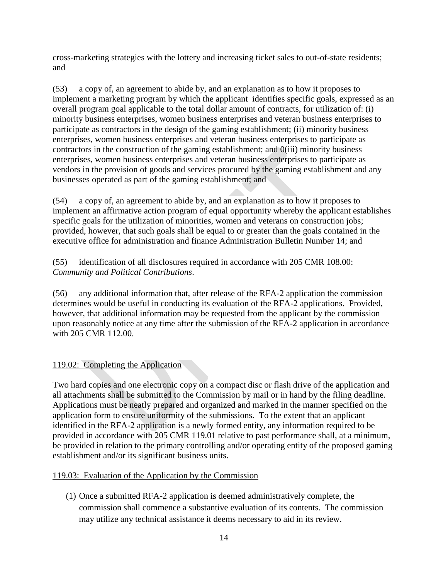cross-marketing strategies with the lottery and increasing ticket sales to out-of-state residents; and

(53) a copy of, an agreement to abide by, and an explanation as to how it proposes to implement a marketing program by which the applicant identifies specific goals, expressed as an overall program goal applicable to the total dollar amount of contracts, for utilization of: (i) minority business enterprises, women business enterprises and veteran business enterprises to participate as contractors in the design of the gaming establishment; (ii) minority business enterprises, women business enterprises and veteran business enterprises to participate as contractors in the construction of the gaming establishment; and 0(iii) minority business enterprises, women business enterprises and veteran business enterprises to participate as vendors in the provision of goods and services procured by the gaming establishment and any businesses operated as part of the gaming establishment; and

(54) a copy of, an agreement to abide by, and an explanation as to how it proposes to implement an affirmative action program of equal opportunity whereby the applicant establishes specific goals for the utilization of minorities, women and veterans on construction jobs; provided, however, that such goals shall be equal to or greater than the goals contained in the executive office for administration and finance Administration Bulletin Number 14; and

(55) identification of all disclosures required in accordance with 205 CMR 108.00: *Community and Political Contributions*.

(56) any additional information that, after release of the RFA-2 application the commission determines would be useful in conducting its evaluation of the RFA-2 applications. Provided, however, that additional information may be requested from the applicant by the commission upon reasonably notice at any time after the submission of the RFA-2 application in accordance with 205 CMR 112.00.

# 119.02: Completing the Application

Two hard copies and one electronic copy on a compact disc or flash drive of the application and all attachments shall be submitted to the Commission by mail or in hand by the filing deadline. Applications must be neatly prepared and organized and marked in the manner specified on the application form to ensure uniformity of the submissions. To the extent that an applicant identified in the RFA-2 application is a newly formed entity, any information required to be provided in accordance with 205 CMR 119.01 relative to past performance shall, at a minimum, be provided in relation to the primary controlling and/or operating entity of the proposed gaming establishment and/or its significant business units.

## 119.03: Evaluation of the Application by the Commission

(1) Once a submitted RFA-2 application is deemed administratively complete, the commission shall commence a substantive evaluation of its contents. The commission may utilize any technical assistance it deems necessary to aid in its review.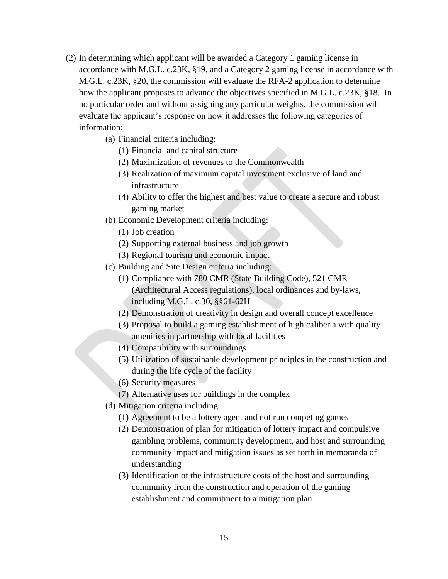- (2) In determining which applicant will be awarded a Category 1 gaming license in accordance with M.G.L. c.23K, §19, and a Category 2 gaming license in accordance with M.G.L. c.23K, §20, the commission will evaluate the RFA-2 application to determine how the applicant proposes to advance the objectives specified in M.G.L. c.23K, §18. In no particular order and without assigning any particular weights, the commission will evaluate the applicant"s response on how it addresses the following categories of information:
	- (a) Financial criteria including:
		- (1) Financial and capital structure
		- (2) Maximization of revenues to the Commonwealth
		- (3) Realization of maximum capital investment exclusive of land and infrastructure
		- (4) Ability to offer the highest and best value to create a secure and robust gaming market
	- (b) Economic Development criteria including:
		- (1) Job creation
		- (2) Supporting external business and job growth
		- (3) Regional tourism and economic impact
	- (c) Building and Site Design criteria including:
		- (1) Compliance with 780 CMR (State Building Code), 521 CMR (Architectural Access regulations), local ordinances and by-laws, including M.G.L. c.30, §§61-62H
		- (2) Demonstration of creativity in design and overall concept excellence
		- (3) Proposal to build a gaming establishment of high caliber a with quality amenities in partnership with local facilities
		- (4) Compatibility with surroundings
		- (5) Utilization of sustainable development principles in the construction and during the life cycle of the facility
		- (6) Security measures
		- (7) Alternative uses for buildings in the complex
	- (d) Mitigation criteria including:
		- (1) Agreement to be a lottery agent and not run competing games
		- (2) Demonstration of plan for mitigation of lottery impact and compulsive gambling problems, community development, and host and surrounding community impact and mitigation issues as set forth in memoranda of understanding
		- (3) Identification of the infrastructure costs of the host and surrounding community from the construction and operation of the gaming establishment and commitment to a mitigation plan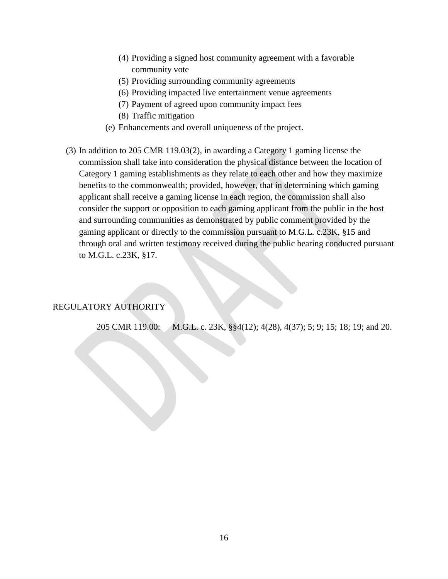- (4) Providing a signed host community agreement with a favorable community vote
- (5) Providing surrounding community agreements
- (6) Providing impacted live entertainment venue agreements
- (7) Payment of agreed upon community impact fees
- (8) Traffic mitigation
- (e) Enhancements and overall uniqueness of the project.
- (3) In addition to 205 CMR 119.03(2), in awarding a Category 1 gaming license the commission shall take into consideration the physical distance between the location of Category 1 gaming establishments as they relate to each other and how they maximize benefits to the commonwealth; provided, however, that in determining which gaming applicant shall receive a gaming license in each region, the commission shall also consider the support or opposition to each gaming applicant from the public in the host and surrounding communities as demonstrated by public comment provided by the gaming applicant or directly to the commission pursuant to M.G.L. c.23K, §15 and through oral and written testimony received during the public hearing conducted pursuant to M.G.L. c.23K, §17.

## REGULATORY AUTHORITY

205 CMR 119.00: M.G.L. c. 23K, §§4(12); 4(28), 4(37); 5; 9; 15; 18; 19; and 20.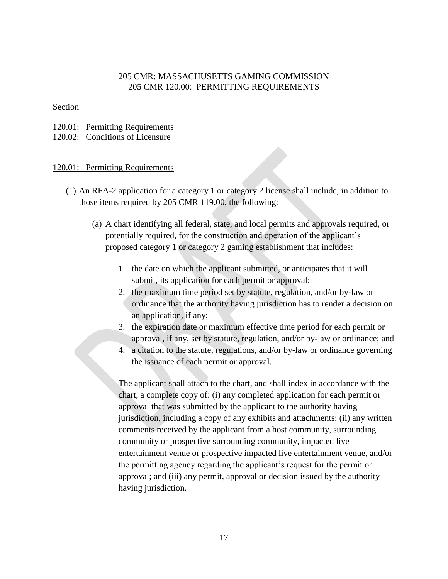### 205 CMR: MASSACHUSETTS GAMING COMMISSION 205 CMR 120.00: PERMITTING REQUIREMENTS

#### Section

- 120.01: Permitting Requirements
- 120.02: Conditions of Licensure

### 120.01: Permitting Requirements

- (1) An RFA-2 application for a category 1 or category 2 license shall include, in addition to those items required by 205 CMR 119.00, the following:
	- (a) A chart identifying all federal, state, and local permits and approvals required, or potentially required, for the construction and operation of the applicant"s proposed category 1 or category 2 gaming establishment that includes:
		- 1. the date on which the applicant submitted, or anticipates that it will submit, its application for each permit or approval;
		- 2. the maximum time period set by statute, regulation, and/or by-law or ordinance that the authority having jurisdiction has to render a decision on an application, if any;
		- 3. the expiration date or maximum effective time period for each permit or approval, if any, set by statute, regulation, and/or by-law or ordinance; and
		- 4. a citation to the statute, regulations, and/or by-law or ordinance governing the issuance of each permit or approval.

The applicant shall attach to the chart, and shall index in accordance with the chart, a complete copy of: (i) any completed application for each permit or approval that was submitted by the applicant to the authority having jurisdiction, including a copy of any exhibits and attachments; (ii) any written comments received by the applicant from a host community, surrounding community or prospective surrounding community, impacted live entertainment venue or prospective impacted live entertainment venue, and/or the permitting agency regarding the applicant"s request for the permit or approval; and (iii) any permit, approval or decision issued by the authority having jurisdiction.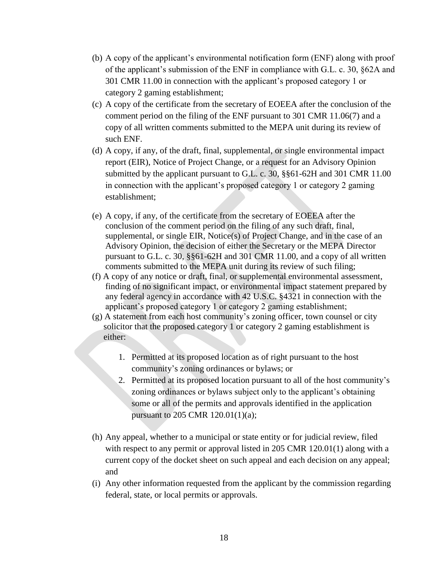- (b) A copy of the applicant"s environmental notification form (ENF) along with proof of the applicant"s submission of the ENF in compliance with G.L. c. 30, §62A and 301 CMR 11.00 in connection with the applicant"s proposed category 1 or category 2 gaming establishment;
- (c) A copy of the certificate from the secretary of EOEEA after the conclusion of the comment period on the filing of the ENF pursuant to 301 CMR 11.06(7) and a copy of all written comments submitted to the MEPA unit during its review of such ENF.
- (d) A copy, if any, of the draft, final, supplemental, or single environmental impact report (EIR), Notice of Project Change, or a request for an Advisory Opinion submitted by the applicant pursuant to G.L. c. 30, §§61-62H and 301 CMR 11.00 in connection with the applicant"s proposed category 1 or category 2 gaming establishment;
- (e) A copy, if any, of the certificate from the secretary of EOEEA after the conclusion of the comment period on the filing of any such draft, final, supplemental, or single EIR, Notice(s) of Project Change, and in the case of an Advisory Opinion, the decision of either the Secretary or the MEPA Director pursuant to G.L. c. 30, §§61-62H and 301 CMR 11.00, and a copy of all written comments submitted to the MEPA unit during its review of such filing;
- (f) A copy of any notice or draft, final, or supplemental environmental assessment, finding of no significant impact, or environmental impact statement prepared by any federal agency in accordance with 42 U.S.C. §4321 in connection with the applicant"s proposed category 1 or category 2 gaming establishment;
- (g) A statement from each host community"s zoning officer, town counsel or city solicitor that the proposed category 1 or category 2 gaming establishment is either:
	- 1. Permitted at its proposed location as of right pursuant to the host community"s zoning ordinances or bylaws; or
	- 2. Permitted at its proposed location pursuant to all of the host community"s zoning ordinances or bylaws subject only to the applicant's obtaining some or all of the permits and approvals identified in the application pursuant to 205 CMR 120.01(1)(a);
- (h) Any appeal, whether to a municipal or state entity or for judicial review, filed with respect to any permit or approval listed in 205 CMR 120.01(1) along with a current copy of the docket sheet on such appeal and each decision on any appeal; and
- (i) Any other information requested from the applicant by the commission regarding federal, state, or local permits or approvals.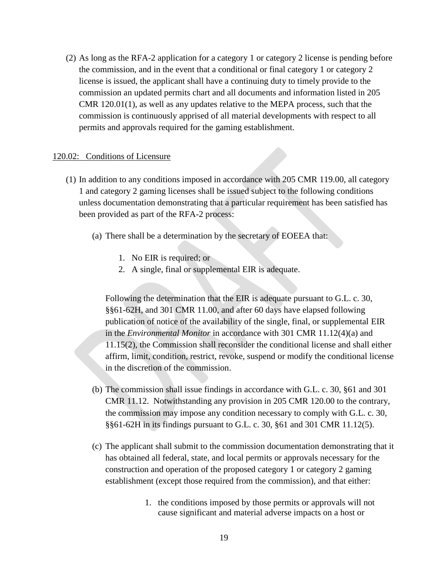(2) As long as the RFA-2 application for a category 1 or category 2 license is pending before the commission, and in the event that a conditional or final category 1 or category 2 license is issued, the applicant shall have a continuing duty to timely provide to the commission an updated permits chart and all documents and information listed in 205 CMR 120.01(1), as well as any updates relative to the MEPA process, such that the commission is continuously apprised of all material developments with respect to all permits and approvals required for the gaming establishment.

#### 120.02: Conditions of Licensure

- (1) In addition to any conditions imposed in accordance with 205 CMR 119.00, all category 1 and category 2 gaming licenses shall be issued subject to the following conditions unless documentation demonstrating that a particular requirement has been satisfied has been provided as part of the RFA-2 process:
	- (a) There shall be a determination by the secretary of EOEEA that:
		- 1. No EIR is required; or
		- 2. A single, final or supplemental EIR is adequate.

Following the determination that the EIR is adequate pursuant to G.L. c. 30, §§61-62H, and 301 CMR 11.00, and after 60 days have elapsed following publication of notice of the availability of the single, final, or supplemental EIR in the *Environmental Monitor* in accordance with 301 CMR 11.12(4)(a) and 11.15(2), the Commission shall reconsider the conditional license and shall either affirm, limit, condition, restrict, revoke, suspend or modify the conditional license in the discretion of the commission.

- (b) The commission shall issue findings in accordance with G.L. c. 30, §61 and 301 CMR 11.12. Notwithstanding any provision in 205 CMR 120.00 to the contrary, the commission may impose any condition necessary to comply with G.L. c. 30, §§61-62H in its findings pursuant to G.L. c. 30, §61 and 301 CMR 11.12(5).
- (c) The applicant shall submit to the commission documentation demonstrating that it has obtained all federal, state, and local permits or approvals necessary for the construction and operation of the proposed category 1 or category 2 gaming establishment (except those required from the commission), and that either:
	- 1. the conditions imposed by those permits or approvals will not cause significant and material adverse impacts on a host or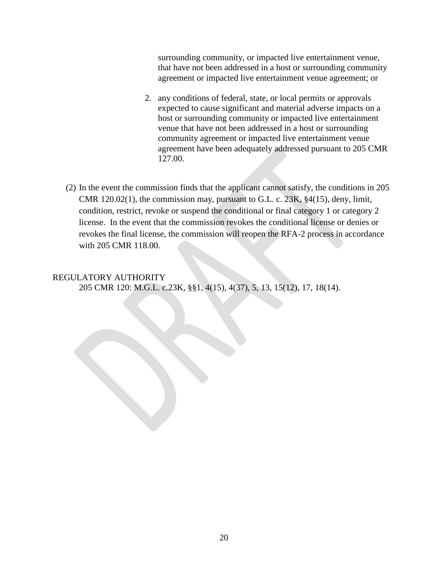surrounding community, or impacted live entertainment venue, that have not been addressed in a host or surrounding community agreement or impacted live entertainment venue agreement; or

- 2. any conditions of federal, state, or local permits or approvals expected to cause significant and material adverse impacts on a host or surrounding community or impacted live entertainment venue that have not been addressed in a host or surrounding community agreement or impacted live entertainment venue agreement have been adequately addressed pursuant to 205 CMR 127.00.
- (2) In the event the commission finds that the applicant cannot satisfy, the conditions in 205 CMR 120.02(1), the commission may, pursuant to G.L. c. 23K, §4(15), deny, limit, condition, restrict, revoke or suspend the conditional or final category 1 or category 2 license. In the event that the commission revokes the conditional license or denies or revokes the final license, the commission will reopen the RFA-2 process in accordance with 205 CMR 118.00.

### REGULATORY AUTHORITY 205 CMR 120: M.G.L. c.23K, §§1, 4(15), 4(37), 5, 13, 15(12), 17, 18(14).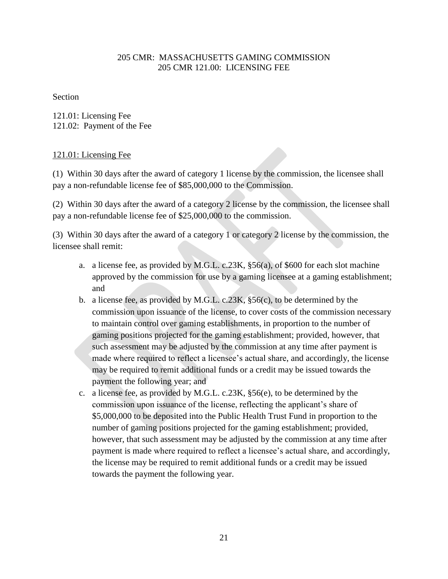## 205 CMR: MASSACHUSETTS GAMING COMMISSION 205 CMR 121.00: LICENSING FEE

Section

121.01: Licensing Fee 121.02: Payment of the Fee

### 121.01: Licensing Fee

(1) Within 30 days after the award of category 1 license by the commission, the licensee shall pay a non-refundable license fee of \$85,000,000 to the Commission.

(2) Within 30 days after the award of a category 2 license by the commission, the licensee shall pay a non-refundable license fee of \$25,000,000 to the commission.

(3) Within 30 days after the award of a category 1 or category 2 license by the commission, the licensee shall remit:

- a. a license fee, as provided by M.G.L. c.23K, §56(a), of \$600 for each slot machine approved by the commission for use by a gaming licensee at a gaming establishment; and
- b. a license fee, as provided by M.G.L. c.23K, §56(c), to be determined by the commission upon issuance of the license, to cover costs of the commission necessary to maintain control over gaming establishments, in proportion to the number of gaming positions projected for the gaming establishment; provided, however, that such assessment may be adjusted by the commission at any time after payment is made where required to reflect a licensee's actual share, and accordingly, the license may be required to remit additional funds or a credit may be issued towards the payment the following year; and
- c. a license fee, as provided by M.G.L. c.23K, §56(e), to be determined by the commission upon issuance of the license, reflecting the applicant's share of \$5,000,000 to be deposited into the Public Health Trust Fund in proportion to the number of gaming positions projected for the gaming establishment; provided, however, that such assessment may be adjusted by the commission at any time after payment is made where required to reflect a licensee"s actual share, and accordingly, the license may be required to remit additional funds or a credit may be issued towards the payment the following year.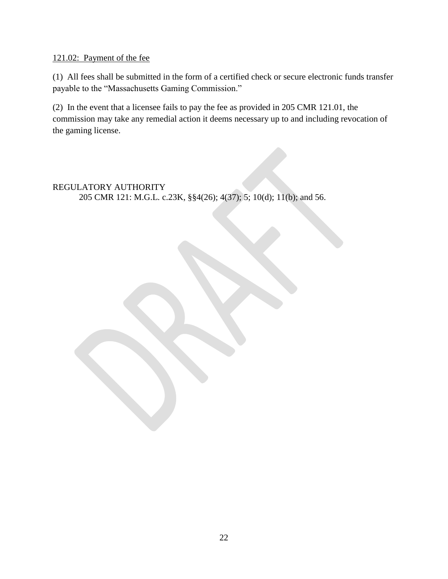## 121.02: Payment of the fee

(1) All fees shall be submitted in the form of a certified check or secure electronic funds transfer payable to the "Massachusetts Gaming Commission."

(2) In the event that a licensee fails to pay the fee as provided in 205 CMR 121.01, the commission may take any remedial action it deems necessary up to and including revocation of the gaming license.

REGULATORY AUTHORITY 205 CMR 121: M.G.L. c.23K, §§4(26); 4(37); 5; 10(d); 11(b); and 56.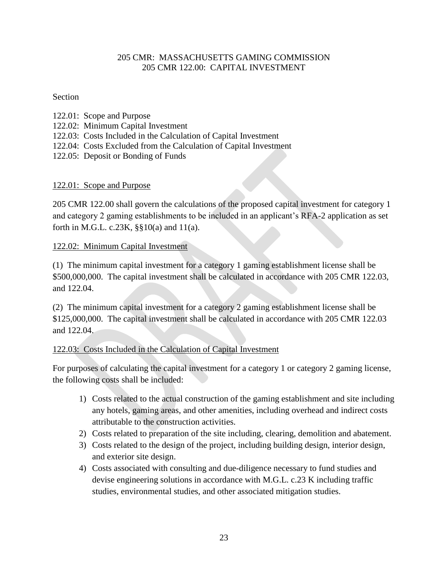## 205 CMR: MASSACHUSETTS GAMING COMMISSION 205 CMR 122.00: CAPITAL INVESTMENT

### Section

- 122.01: Scope and Purpose
- 122.02: Minimum Capital Investment
- 122.03: Costs Included in the Calculation of Capital Investment
- 122.04: Costs Excluded from the Calculation of Capital Investment
- 122.05: Deposit or Bonding of Funds

# 122.01: Scope and Purpose

205 CMR 122.00 shall govern the calculations of the proposed capital investment for category 1 and category 2 gaming establishments to be included in an applicant"s RFA-2 application as set forth in M.G.L. c.23K,  $\S$ §10(a) and 11(a).

## 122.02: Minimum Capital Investment

(1) The minimum capital investment for a category 1 gaming establishment license shall be \$500,000,000. The capital investment shall be calculated in accordance with 205 CMR 122.03, and 122.04.

(2) The minimum capital investment for a category 2 gaming establishment license shall be \$125,000,000. The capital investment shall be calculated in accordance with 205 CMR 122.03 and 122.04.

## 122.03: Costs Included in the Calculation of Capital Investment

For purposes of calculating the capital investment for a category 1 or category 2 gaming license, the following costs shall be included:

- 1) Costs related to the actual construction of the gaming establishment and site including any hotels, gaming areas, and other amenities, including overhead and indirect costs attributable to the construction activities.
- 2) Costs related to preparation of the site including, clearing, demolition and abatement.
- 3) Costs related to the design of the project, including building design, interior design, and exterior site design.
- 4) Costs associated with consulting and due-diligence necessary to fund studies and devise engineering solutions in accordance with M.G.L. c.23 K including traffic studies, environmental studies, and other associated mitigation studies.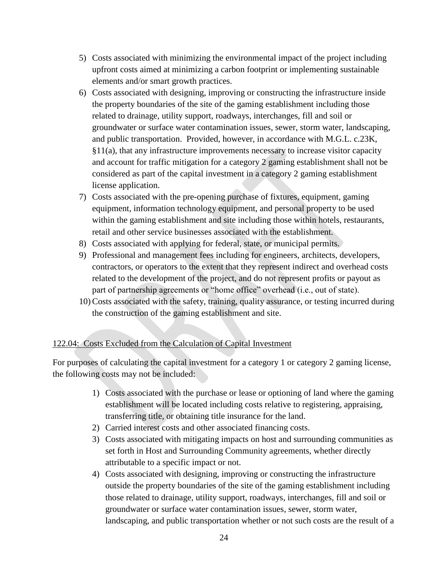- 5) Costs associated with minimizing the environmental impact of the project including upfront costs aimed at minimizing a carbon footprint or implementing sustainable elements and/or smart growth practices.
- 6) Costs associated with designing, improving or constructing the infrastructure inside the property boundaries of the site of the gaming establishment including those related to drainage, utility support, roadways, interchanges, fill and soil or groundwater or surface water contamination issues, sewer, storm water, landscaping, and public transportation. Provided, however, in accordance with M.G.L. c.23K, §11(a), that any infrastructure improvements necessary to increase visitor capacity and account for traffic mitigation for a category 2 gaming establishment shall not be considered as part of the capital investment in a category 2 gaming establishment license application.
- 7) Costs associated with the pre-opening purchase of fixtures, equipment, gaming equipment, information technology equipment, and personal property to be used within the gaming establishment and site including those within hotels, restaurants, retail and other service businesses associated with the establishment.
- 8) Costs associated with applying for federal, state, or municipal permits.
- 9) Professional and management fees including for engineers, architects, developers, contractors, or operators to the extent that they represent indirect and overhead costs related to the development of the project, and do not represent profits or payout as part of partnership agreements or "home office" overhead (i.e., out of state).
- 10) Costs associated with the safety, training, quality assurance, or testing incurred during the construction of the gaming establishment and site.

## 122.04: Costs Excluded from the Calculation of Capital Investment

For purposes of calculating the capital investment for a category 1 or category 2 gaming license, the following costs may not be included:

- 1) Costs associated with the purchase or lease or optioning of land where the gaming establishment will be located including costs relative to registering, appraising, transferring title, or obtaining title insurance for the land.
- 2) Carried interest costs and other associated financing costs.
- 3) Costs associated with mitigating impacts on host and surrounding communities as set forth in Host and Surrounding Community agreements, whether directly attributable to a specific impact or not.
- 4) Costs associated with designing, improving or constructing the infrastructure outside the property boundaries of the site of the gaming establishment including those related to drainage, utility support, roadways, interchanges, fill and soil or groundwater or surface water contamination issues, sewer, storm water, landscaping, and public transportation whether or not such costs are the result of a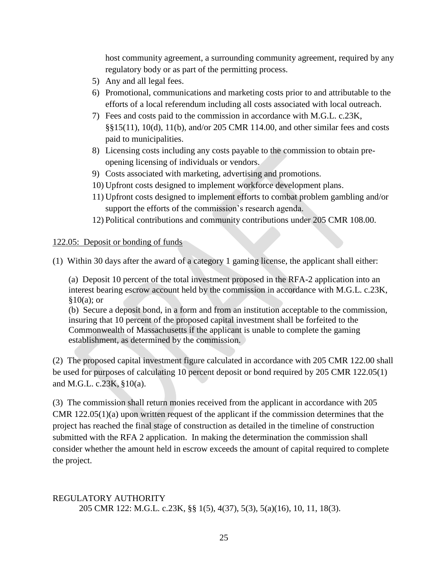host community agreement, a surrounding community agreement, required by any regulatory body or as part of the permitting process.

- 5) Any and all legal fees.
- 6) Promotional, communications and marketing costs prior to and attributable to the efforts of a local referendum including all costs associated with local outreach.
- 7) Fees and costs paid to the commission in accordance with M.G.L. c.23K, §§15(11), 10(d), 11(b), and/or 205 CMR 114.00, and other similar fees and costs paid to municipalities.
- 8) Licensing costs including any costs payable to the commission to obtain preopening licensing of individuals or vendors.
- 9) Costs associated with marketing, advertising and promotions.
- 10) Upfront costs designed to implement workforce development plans.
- 11) Upfront costs designed to implement efforts to combat problem gambling and/or support the efforts of the commission's research agenda.
- 12) Political contributions and community contributions under 205 CMR 108.00.

122.05: Deposit or bonding of funds

(1) Within 30 days after the award of a category 1 gaming license, the applicant shall either:

(a) Deposit 10 percent of the total investment proposed in the RFA-2 application into an interest bearing escrow account held by the commission in accordance with M.G.L. c.23K,  $§10(a);$  or

(b) Secure a deposit bond, in a form and from an institution acceptable to the commission, insuring that 10 percent of the proposed capital investment shall be forfeited to the Commonwealth of Massachusetts if the applicant is unable to complete the gaming establishment, as determined by the commission.

(2) The proposed capital investment figure calculated in accordance with 205 CMR 122.00 shall be used for purposes of calculating 10 percent deposit or bond required by 205 CMR 122.05(1) and M.G.L. c.23K, §10(a).

(3) The commission shall return monies received from the applicant in accordance with 205 CMR 122.05(1)(a) upon written request of the applicant if the commission determines that the project has reached the final stage of construction as detailed in the timeline of construction submitted with the RFA 2 application. In making the determination the commission shall consider whether the amount held in escrow exceeds the amount of capital required to complete the project.

# REGULATORY AUTHORITY 205 CMR 122: M.G.L. c.23K, §§ 1(5), 4(37), 5(3), 5(a)(16), 10, 11, 18(3).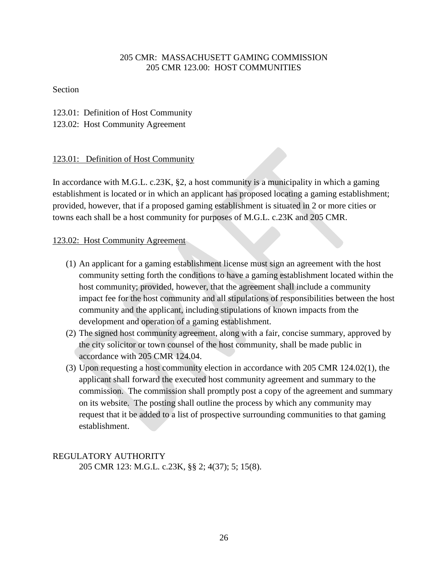## 205 CMR: MASSACHUSETT GAMING COMMISSION 205 CMR 123.00: HOST COMMUNITIES

Section

123.01: Definition of Host Community 123.02: Host Community Agreement

# 123.01: Definition of Host Community

In accordance with M.G.L. c.23K, §2, a host community is a municipality in which a gaming establishment is located or in which an applicant has proposed locating a gaming establishment; provided, however, that if a proposed gaming establishment is situated in 2 or more cities or towns each shall be a host community for purposes of M.G.L. c.23K and 205 CMR.

## 123.02: Host Community Agreement

- (1) An applicant for a gaming establishment license must sign an agreement with the host community setting forth the conditions to have a gaming establishment located within the host community; provided, however, that the agreement shall include a community impact fee for the host community and all stipulations of responsibilities between the host community and the applicant, including stipulations of known impacts from the development and operation of a gaming establishment.
- (2) The signed host community agreement, along with a fair, concise summary, approved by the city solicitor or town counsel of the host community, shall be made public in accordance with 205 CMR 124.04.
- (3) Upon requesting a host community election in accordance with 205 CMR 124.02(1), the applicant shall forward the executed host community agreement and summary to the commission. The commission shall promptly post a copy of the agreement and summary on its website. The posting shall outline the process by which any community may request that it be added to a list of prospective surrounding communities to that gaming establishment.

REGULATORY AUTHORITY 205 CMR 123: M.G.L. c.23K, §§ 2; 4(37); 5; 15(8).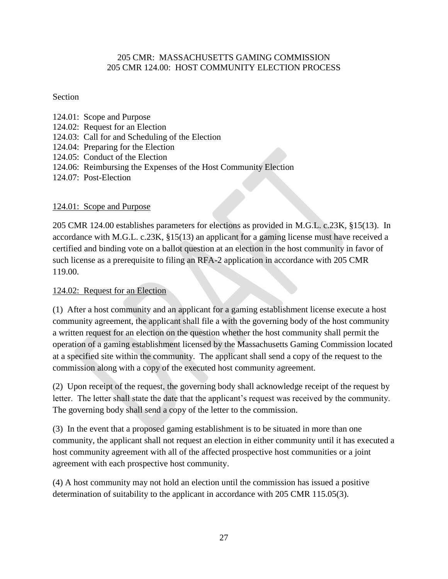## 205 CMR: MASSACHUSETTS GAMING COMMISSION 205 CMR 124.00: HOST COMMUNITY ELECTION PROCESS

## Section

- 124.01: Scope and Purpose 124.02: Request for an Election 124.03: Call for and Scheduling of the Election
- 
- 124.04: Preparing for the Election
- 124.05: Conduct of the Election
- 124.06: Reimbursing the Expenses of the Host Community Election
- 124.07: Post-Election

# 124.01: Scope and Purpose

205 CMR 124.00 establishes parameters for elections as provided in M.G.L. c.23K, §15(13). In accordance with M.G.L. c.23K, §15(13) an applicant for a gaming license must have received a certified and binding vote on a ballot question at an election in the host community in favor of such license as a prerequisite to filing an RFA-2 application in accordance with 205 CMR 119.00.

# 124.02: Request for an Election

(1) After a host community and an applicant for a gaming establishment license execute a host community agreement, the applicant shall file a with the governing body of the host community a written request for an election on the question whether the host community shall permit the operation of a gaming establishment licensed by the Massachusetts Gaming Commission located at a specified site within the community. The applicant shall send a copy of the request to the commission along with a copy of the executed host community agreement.

(2) Upon receipt of the request, the governing body shall acknowledge receipt of the request by letter. The letter shall state the date that the applicant"s request was received by the community. The governing body shall send a copy of the letter to the commission.

(3) In the event that a proposed gaming establishment is to be situated in more than one community, the applicant shall not request an election in either community until it has executed a host community agreement with all of the affected prospective host communities or a joint agreement with each prospective host community.

(4) A host community may not hold an election until the commission has issued a positive determination of suitability to the applicant in accordance with 205 CMR 115.05(3).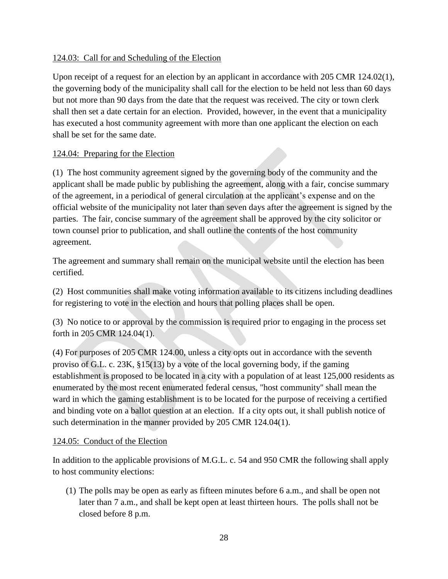# 124.03: Call for and Scheduling of the Election

Upon receipt of a request for an election by an applicant in accordance with 205 CMR 124.02(1), the governing body of the municipality shall call for the election to be held not less than 60 days but not more than 90 days from the date that the request was received. The city or town clerk shall then set a date certain for an election. Provided, however, in the event that a municipality has executed a host community agreement with more than one applicant the election on each shall be set for the same date.

# 124.04: Preparing for the Election

(1) The host community agreement signed by the governing body of the community and the applicant shall be made public by publishing the agreement, along with a fair, concise summary of the agreement, in a periodical of general circulation at the applicant's expense and on the official website of the municipality not later than seven days after the agreement is signed by the parties. The fair, concise summary of the agreement shall be approved by the city solicitor or town counsel prior to publication, and shall outline the contents of the host community agreement.

The agreement and summary shall remain on the municipal website until the election has been certified.

(2) Host communities shall make voting information available to its citizens including deadlines for registering to vote in the election and hours that polling places shall be open.

(3) No notice to or approval by the commission is required prior to engaging in the process set forth in 205 CMR 124.04(1).

(4) For purposes of 205 CMR 124.00, unless a city opts out in accordance with the seventh proviso of G.L. c. 23K, §15(13) by a vote of the local governing body, if the gaming establishment is proposed to be located in a city with a population of at least 125,000 residents as enumerated by the most recent enumerated federal census, "host community'' shall mean the ward in which the gaming establishment is to be located for the purpose of receiving a certified and binding vote on a ballot question at an election. If a city opts out, it shall publish notice of such determination in the manner provided by 205 CMR 124.04(1).

## 124.05: Conduct of the Election

In addition to the applicable provisions of M.G.L. c. 54 and 950 CMR the following shall apply to host community elections:

(1) The polls may be open as early as fifteen minutes before 6 a.m., and shall be open not later than 7 a.m., and shall be kept open at least thirteen hours. The polls shall not be closed before 8 p.m.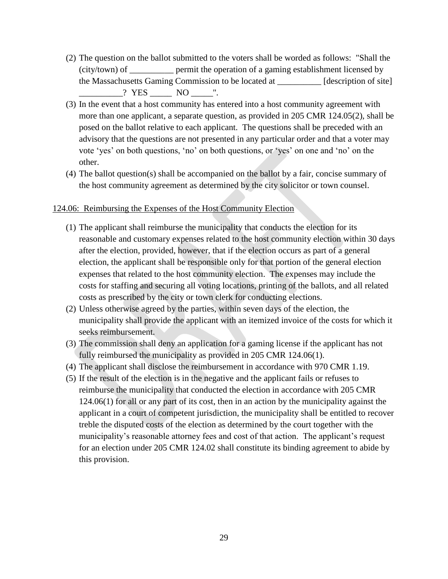- (2) The question on the ballot submitted to the voters shall be worded as follows: "Shall the (city/town) of \_\_\_\_\_\_\_\_\_\_ permit the operation of a gaming establishment licensed by the Massachusetts Gaming Commission to be located at [description of site]  $\frac{? \text{YES}}{? \text{NOS}}$  NO  $\frac{? \text{Yes}}{? \text{NOS}}$
- (3) In the event that a host community has entered into a host community agreement with more than one applicant, a separate question, as provided in 205 CMR 124.05(2), shall be posed on the ballot relative to each applicant. The questions shall be preceded with an advisory that the questions are not presented in any particular order and that a voter may vote "yes" on both questions, "no" on both questions, or "yes" on one and "no" on the other.
- (4) The ballot question(s) shall be accompanied on the ballot by a fair, concise summary of the host community agreement as determined by the city solicitor or town counsel.

### 124.06: Reimbursing the Expenses of the Host Community Election

- (1) The applicant shall reimburse the municipality that conducts the election for its reasonable and customary expenses related to the host community election within 30 days after the election, provided, however, that if the election occurs as part of a general election, the applicant shall be responsible only for that portion of the general election expenses that related to the host community election. The expenses may include the costs for staffing and securing all voting locations, printing of the ballots, and all related costs as prescribed by the city or town clerk for conducting elections.
- (2) Unless otherwise agreed by the parties, within seven days of the election, the municipality shall provide the applicant with an itemized invoice of the costs for which it seeks reimbursement.
- (3) The commission shall deny an application for a gaming license if the applicant has not fully reimbursed the municipality as provided in 205 CMR 124.06(1).
- (4) The applicant shall disclose the reimbursement in accordance with 970 CMR 1.19.
- (5) If the result of the election is in the negative and the applicant fails or refuses to reimburse the municipality that conducted the election in accordance with 205 CMR 124.06(1) for all or any part of its cost, then in an action by the municipality against the applicant in a court of competent jurisdiction, the municipality shall be entitled to recover treble the disputed costs of the election as determined by the court together with the municipality's reasonable attorney fees and cost of that action. The applicant's request for an election under 205 CMR 124.02 shall constitute its binding agreement to abide by this provision.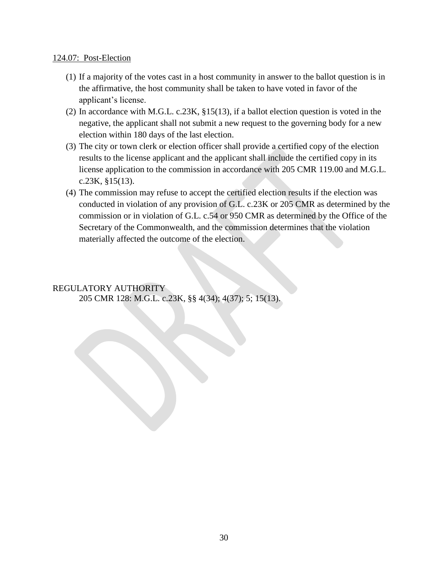### 124.07: Post-Election

- (1) If a majority of the votes cast in a host community in answer to the ballot question is in the affirmative, the host community shall be taken to have voted in favor of the applicant"s license.
- (2) In accordance with M.G.L. c.23K, §15(13), if a ballot election question is voted in the negative, the applicant shall not submit a new request to the governing body for a new election within 180 days of the last election.
- (3) The city or town clerk or election officer shall provide a certified copy of the election results to the license applicant and the applicant shall include the certified copy in its license application to the commission in accordance with 205 CMR 119.00 and M.G.L. c.23K, §15(13).
- (4) The commission may refuse to accept the certified election results if the election was conducted in violation of any provision of G.L. c.23K or 205 CMR as determined by the commission or in violation of G.L. c.54 or 950 CMR as determined by the Office of the Secretary of the Commonwealth, and the commission determines that the violation materially affected the outcome of the election.

## REGULATORY AUTHORITY

205 CMR 128: M.G.L. c.23K, §§ 4(34); 4(37); 5; 15(13).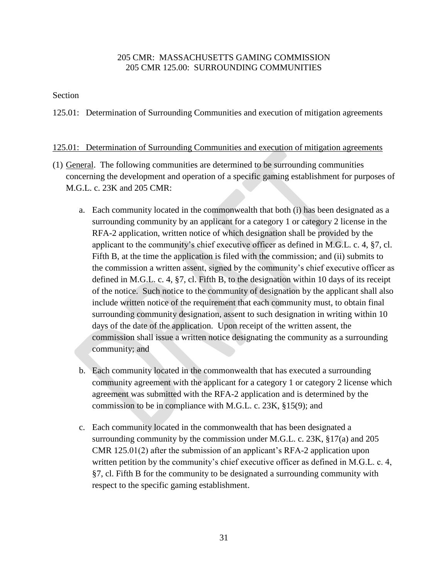## 205 CMR: MASSACHUSETTS GAMING COMMISSION 205 CMR 125.00: SURROUNDING COMMUNITIES

### Section

125.01: Determination of Surrounding Communities and execution of mitigation agreements

### 125.01: Determination of Surrounding Communities and execution of mitigation agreements

- (1) General. The following communities are determined to be surrounding communities concerning the development and operation of a specific gaming establishment for purposes of M.G.L. c. 23K and 205 CMR:
	- a. Each community located in the commonwealth that both (i) has been designated as a surrounding community by an applicant for a category 1 or category 2 license in the RFA-2 application, written notice of which designation shall be provided by the applicant to the community's chief executive officer as defined in M.G.L. c. 4, §7, cl. Fifth B, at the time the application is filed with the commission; and (ii) submits to the commission a written assent, signed by the community"s chief executive officer as defined in M.G.L. c. 4, §7, cl. Fifth B, to the designation within 10 days of its receipt of the notice. Such notice to the community of designation by the applicant shall also include written notice of the requirement that each community must, to obtain final surrounding community designation, assent to such designation in writing within 10 days of the date of the application. Upon receipt of the written assent, the commission shall issue a written notice designating the community as a surrounding community; and
	- b. Each community located in the commonwealth that has executed a surrounding community agreement with the applicant for a category 1 or category 2 license which agreement was submitted with the RFA-2 application and is determined by the commission to be in compliance with M.G.L. c. 23K, §15(9); and
	- c. Each community located in the commonwealth that has been designated a surrounding community by the commission under M.G.L. c. 23K, §17(a) and 205 CMR 125.01(2) after the submission of an applicant"s RFA-2 application upon written petition by the community's chief executive officer as defined in M.G.L. c. 4, §7, cl. Fifth B for the community to be designated a surrounding community with respect to the specific gaming establishment.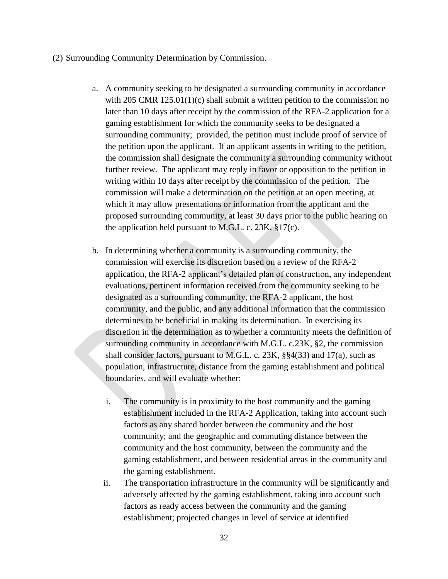#### (2) Surrounding Community Determination by Commission.

- a. A community seeking to be designated a surrounding community in accordance with 205 CMR 125.01(1)(c) shall submit a written petition to the commission no later than 10 days after receipt by the commission of the RFA-2 application for a gaming establishment for which the community seeks to be designated a surrounding community; provided, the petition must include proof of service of the petition upon the applicant. If an applicant assents in writing to the petition, the commission shall designate the community a surrounding community without further review. The applicant may reply in favor or opposition to the petition in writing within 10 days after receipt by the commission of the petition. The commission will make a determination on the petition at an open meeting, at which it may allow presentations or information from the applicant and the proposed surrounding community, at least 30 days prior to the public hearing on the application held pursuant to M.G.L. c.  $23K$ ,  $\S17(c)$ .
- b. In determining whether a community is a surrounding community, the commission will exercise its discretion based on a review of the RFA-2 application, the RFA-2 applicant's detailed plan of construction, any independent evaluations, pertinent information received from the community seeking to be designated as a surrounding community, the RFA-2 applicant, the host community, and the public, and any additional information that the commission determines to be beneficial in making its determination. In exercising its discretion in the determination as to whether a community meets the definition of surrounding community in accordance with M.G.L. c.23K, §2, the commission shall consider factors, pursuant to M.G.L. c. 23K, §§4(33) and 17(a), such as population, infrastructure, distance from the gaming establishment and political boundaries, and will evaluate whether:
	- i. The community is in proximity to the host community and the gaming establishment included in the RFA-2 Application, taking into account such factors as any shared border between the community and the host community; and the geographic and commuting distance between the community and the host community, between the community and the gaming establishment, and between residential areas in the community and the gaming establishment.
	- ii. The transportation infrastructure in the community will be significantly and adversely affected by the gaming establishment, taking into account such factors as ready access between the community and the gaming establishment; projected changes in level of service at identified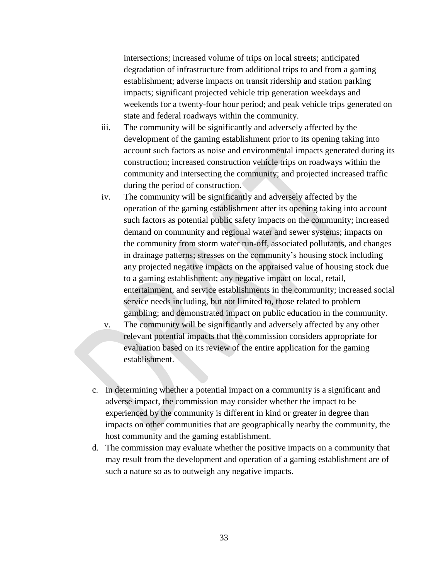intersections; increased volume of trips on local streets; anticipated degradation of infrastructure from additional trips to and from a gaming establishment; adverse impacts on transit ridership and station parking impacts; significant projected vehicle trip generation weekdays and weekends for a twenty-four hour period; and peak vehicle trips generated on state and federal roadways within the community.

- iii. The community will be significantly and adversely affected by the development of the gaming establishment prior to its opening taking into account such factors as noise and environmental impacts generated during its construction; increased construction vehicle trips on roadways within the community and intersecting the community; and projected increased traffic during the period of construction.
- iv. The community will be significantly and adversely affected by the operation of the gaming establishment after its opening taking into account such factors as potential public safety impacts on the community; increased demand on community and regional water and sewer systems; impacts on the community from storm water run-off, associated pollutants, and changes in drainage patterns; stresses on the community"s housing stock including any projected negative impacts on the appraised value of housing stock due to a gaming establishment; any negative impact on local, retail, entertainment, and service establishments in the community; increased social service needs including, but not limited to, those related to problem gambling; and demonstrated impact on public education in the community.
- v. The community will be significantly and adversely affected by any other relevant potential impacts that the commission considers appropriate for evaluation based on its review of the entire application for the gaming establishment.
- c. In determining whether a potential impact on a community is a significant and adverse impact, the commission may consider whether the impact to be experienced by the community is different in kind or greater in degree than impacts on other communities that are geographically nearby the community, the host community and the gaming establishment.
- d. The commission may evaluate whether the positive impacts on a community that may result from the development and operation of a gaming establishment are of such a nature so as to outweigh any negative impacts.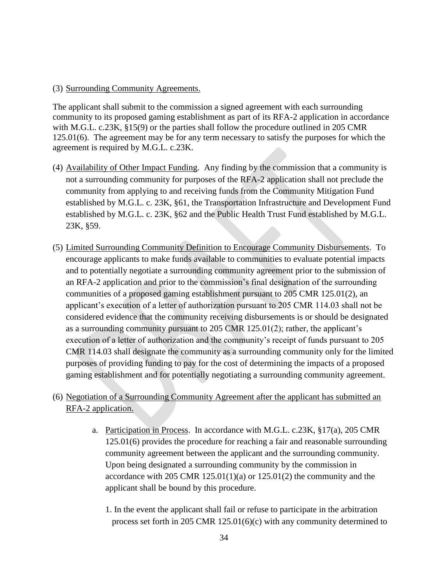### (3) Surrounding Community Agreements.

The applicant shall submit to the commission a signed agreement with each surrounding community to its proposed gaming establishment as part of its RFA-2 application in accordance with M.G.L. c.23K, §15(9) or the parties shall follow the procedure outlined in 205 CMR 125.01(6). The agreement may be for any term necessary to satisfy the purposes for which the agreement is required by M.G.L. c.23K.

- (4) Availability of Other Impact Funding. Any finding by the commission that a community is not a surrounding community for purposes of the RFA-2 application shall not preclude the community from applying to and receiving funds from the Community Mitigation Fund established by M.G.L. c. 23K, §61, the Transportation Infrastructure and Development Fund established by M.G.L. c. 23K, §62 and the Public Health Trust Fund established by M.G.L. 23K, §59.
- (5) Limited Surrounding Community Definition to Encourage Community Disbursements. To encourage applicants to make funds available to communities to evaluate potential impacts and to potentially negotiate a surrounding community agreement prior to the submission of an RFA-2 application and prior to the commission"s final designation of the surrounding communities of a proposed gaming establishment pursuant to 205 CMR 125.01(2), an applicant"s execution of a letter of authorization pursuant to 205 CMR 114.03 shall not be considered evidence that the community receiving disbursements is or should be designated as a surrounding community pursuant to 205 CMR 125.01(2); rather, the applicant's execution of a letter of authorization and the community's receipt of funds pursuant to 205 CMR 114.03 shall designate the community as a surrounding community only for the limited purposes of providing funding to pay for the cost of determining the impacts of a proposed gaming establishment and for potentially negotiating a surrounding community agreement.

# (6) Negotiation of a Surrounding Community Agreement after the applicant has submitted an RFA-2 application.

- a. Participation in Process. In accordance with M.G.L. c.23K, §17(a), 205 CMR 125.01(6) provides the procedure for reaching a fair and reasonable surrounding community agreement between the applicant and the surrounding community. Upon being designated a surrounding community by the commission in accordance with 205 CMR  $125.01(1)(a)$  or  $125.01(2)$  the community and the applicant shall be bound by this procedure.
	- 1. In the event the applicant shall fail or refuse to participate in the arbitration process set forth in 205 CMR 125.01(6)(c) with any community determined to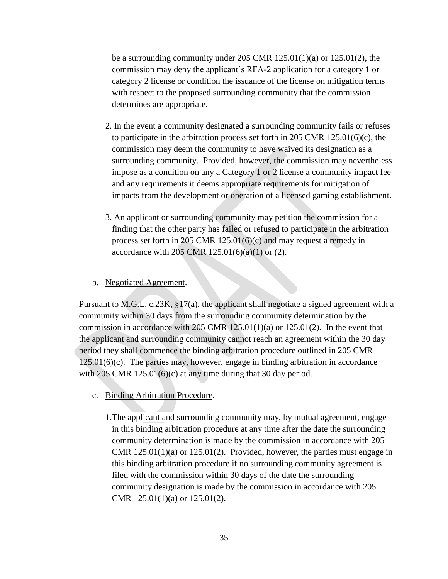be a surrounding community under 205 CMR  $125.01(1)(a)$  or  $125.01(2)$ , the commission may deny the applicant"s RFA-2 application for a category 1 or category 2 license or condition the issuance of the license on mitigation terms with respect to the proposed surrounding community that the commission determines are appropriate.

- 2. In the event a community designated a surrounding community fails or refuses to participate in the arbitration process set forth in 205 CMR  $125.01(6)(c)$ , the commission may deem the community to have waived its designation as a surrounding community. Provided, however, the commission may nevertheless impose as a condition on any a Category 1 or 2 license a community impact fee and any requirements it deems appropriate requirements for mitigation of impacts from the development or operation of a licensed gaming establishment.
- 3. An applicant or surrounding community may petition the commission for a finding that the other party has failed or refused to participate in the arbitration process set forth in 205 CMR 125.01(6)(c) and may request a remedy in accordance with 205 CMR  $125.01(6)(a)(1)$  or (2).
- b. Negotiated Agreement.

Pursuant to M.G.L. c.23K, §17(a), the applicant shall negotiate a signed agreement with a community within 30 days from the surrounding community determination by the commission in accordance with 205 CMR  $125.01(1)(a)$  or  $125.01(2)$ . In the event that the applicant and surrounding community cannot reach an agreement within the 30 day period they shall commence the binding arbitration procedure outlined in 205 CMR  $125.01(6)(c)$ . The parties may, however, engage in binding arbitration in accordance with 205 CMR 125.01(6)(c) at any time during that 30 day period.

- c. Binding Arbitration Procedure.
	- 1.The applicant and surrounding community may, by mutual agreement, engage in this binding arbitration procedure at any time after the date the surrounding community determination is made by the commission in accordance with 205 CMR  $125.01(1)(a)$  or  $125.01(2)$ . Provided, however, the parties must engage in this binding arbitration procedure if no surrounding community agreement is filed with the commission within 30 days of the date the surrounding community designation is made by the commission in accordance with 205 CMR 125.01(1)(a) or 125.01(2).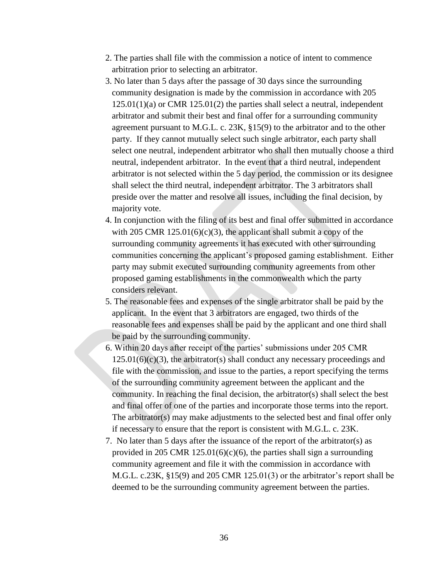- 2. The parties shall file with the commission a notice of intent to commence arbitration prior to selecting an arbitrator.
- 3. No later than 5 days after the passage of 30 days since the surrounding community designation is made by the commission in accordance with 205 125.01(1)(a) or CMR 125.01(2) the parties shall select a neutral, independent arbitrator and submit their best and final offer for a surrounding community agreement pursuant to M.G.L. c. 23K, §15(9) to the arbitrator and to the other party. If they cannot mutually select such single arbitrator, each party shall select one neutral, independent arbitrator who shall then mutually choose a third neutral, independent arbitrator. In the event that a third neutral, independent arbitrator is not selected within the 5 day period, the commission or its designee shall select the third neutral, independent arbitrator. The 3 arbitrators shall preside over the matter and resolve all issues, including the final decision, by majority vote.
- 4. In conjunction with the filing of its best and final offer submitted in accordance with 205 CMR  $125.01(6)(c)(3)$ , the applicant shall submit a copy of the surrounding community agreements it has executed with other surrounding communities concerning the applicant"s proposed gaming establishment. Either party may submit executed surrounding community agreements from other proposed gaming establishments in the commonwealth which the party considers relevant.
- 5. The reasonable fees and expenses of the single arbitrator shall be paid by the applicant. In the event that 3 arbitrators are engaged, two thirds of the reasonable fees and expenses shall be paid by the applicant and one third shall be paid by the surrounding community.
- 6. Within 20 days after receipt of the parties" submissions under 205 CMR  $125.01(6)(c)(3)$ , the arbitrator(s) shall conduct any necessary proceedings and file with the commission, and issue to the parties, a report specifying the terms of the surrounding community agreement between the applicant and the community. In reaching the final decision, the arbitrator(s) shall select the best and final offer of one of the parties and incorporate those terms into the report. The arbitrator(s) may make adjustments to the selected best and final offer only if necessary to ensure that the report is consistent with M.G.L. c. 23K.
- 7. No later than 5 days after the issuance of the report of the arbitrator(s) as provided in 205 CMR 125.01(6)(c)(6), the parties shall sign a surrounding community agreement and file it with the commission in accordance with M.G.L. c.23K,  $\S15(9)$  and 205 CMR 125.01(3) or the arbitrator's report shall be deemed to be the surrounding community agreement between the parties.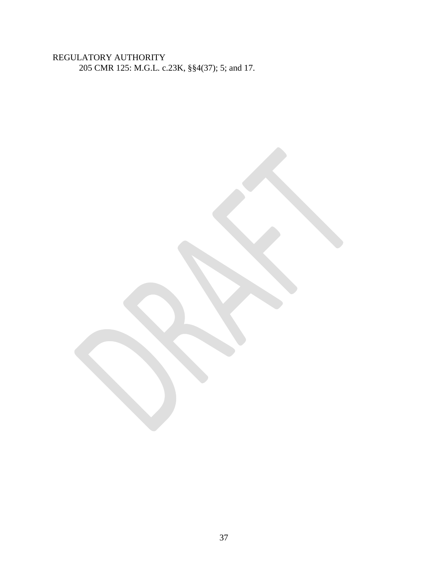# REGULATORY AUTHORITY 205 CMR 125: M.G.L. c.23K, §§4(37); 5; and 17.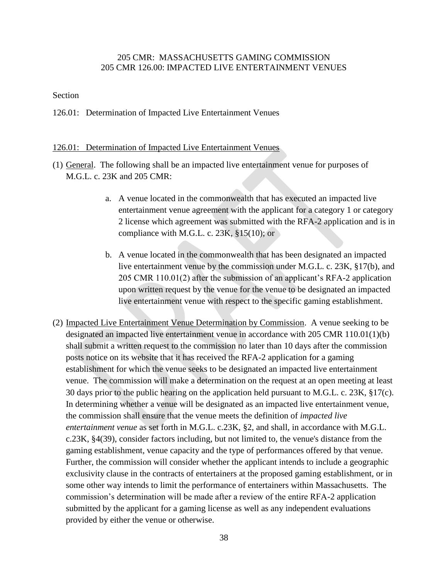### 205 CMR: MASSACHUSETTS GAMING COMMISSION 205 CMR 126.00: IMPACTED LIVE ENTERTAINMENT VENUES

#### Section

126.01: Determination of Impacted Live Entertainment Venues

#### 126.01: Determination of Impacted Live Entertainment Venues

- (1) General. The following shall be an impacted live entertainment venue for purposes of M.G.L. c. 23K and 205 CMR:
	- a. A venue located in the commonwealth that has executed an impacted live entertainment venue agreement with the applicant for a category 1 or category 2 license which agreement was submitted with the RFA-2 application and is in compliance with M.G.L. c.  $23K$ ,  $§15(10)$ ; or
	- b. A venue located in the commonwealth that has been designated an impacted live entertainment venue by the commission under M.G.L. c. 23K, §17(b), and 205 CMR 110.01(2) after the submission of an applicant"s RFA-2 application upon written request by the venue for the venue to be designated an impacted live entertainment venue with respect to the specific gaming establishment.
- (2) Impacted Live Entertainment Venue Determination by Commission. A venue seeking to be designated an impacted live entertainment venue in accordance with 205 CMR 110.01(1)(b) shall submit a written request to the commission no later than 10 days after the commission posts notice on its website that it has received the RFA-2 application for a gaming establishment for which the venue seeks to be designated an impacted live entertainment venue. The commission will make a determination on the request at an open meeting at least 30 days prior to the public hearing on the application held pursuant to M.G.L. c. 23K, §17(c). In determining whether a venue will be designated as an impacted live entertainment venue, the commission shall ensure that the venue meets the definition of *impacted live entertainment venue* as set forth in M.G.L. c.23K, §2, and shall, in accordance with M.G.L. c.23K, §4(39), consider factors including, but not limited to, the venue's distance from the gaming establishment, venue capacity and the type of performances offered by that venue. Further, the commission will consider whether the applicant intends to include a geographic exclusivity clause in the contracts of entertainers at the proposed gaming establishment, or in some other way intends to limit the performance of entertainers within Massachusetts. The commission"s determination will be made after a review of the entire RFA-2 application submitted by the applicant for a gaming license as well as any independent evaluations provided by either the venue or otherwise.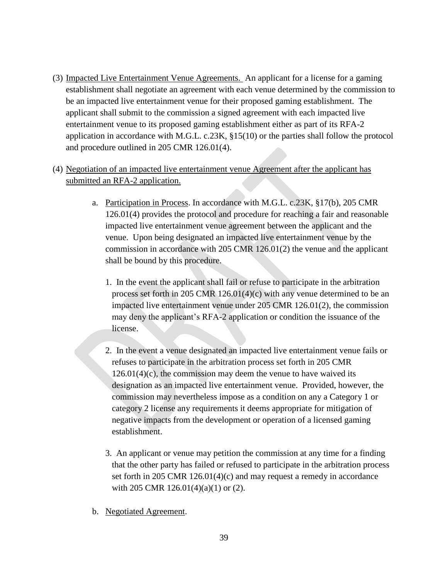- (3) Impacted Live Entertainment Venue Agreements. An applicant for a license for a gaming establishment shall negotiate an agreement with each venue determined by the commission to be an impacted live entertainment venue for their proposed gaming establishment. The applicant shall submit to the commission a signed agreement with each impacted live entertainment venue to its proposed gaming establishment either as part of its RFA-2 application in accordance with M.G.L. c.23K, §15(10) or the parties shall follow the protocol and procedure outlined in 205 CMR 126.01(4).
- (4) Negotiation of an impacted live entertainment venue Agreement after the applicant has submitted an RFA-2 application.
	- a. Participation in Process. In accordance with M.G.L. c.23K, §17(b), 205 CMR 126.01(4) provides the protocol and procedure for reaching a fair and reasonable impacted live entertainment venue agreement between the applicant and the venue. Upon being designated an impacted live entertainment venue by the commission in accordance with 205 CMR 126.01(2) the venue and the applicant shall be bound by this procedure.
		- 1. In the event the applicant shall fail or refuse to participate in the arbitration process set forth in 205 CMR 126.01(4)(c) with any venue determined to be an impacted live entertainment venue under 205 CMR 126.01(2), the commission may deny the applicant"s RFA-2 application or condition the issuance of the license.
		- 2. In the event a venue designated an impacted live entertainment venue fails or refuses to participate in the arbitration process set forth in 205 CMR  $126.01(4)(c)$ , the commission may deem the venue to have waived its designation as an impacted live entertainment venue. Provided, however, the commission may nevertheless impose as a condition on any a Category 1 or category 2 license any requirements it deems appropriate for mitigation of negative impacts from the development or operation of a licensed gaming establishment.
		- 3. An applicant or venue may petition the commission at any time for a finding that the other party has failed or refused to participate in the arbitration process set forth in 205 CMR 126.01(4)(c) and may request a remedy in accordance with 205 CMR 126.01(4)(a)(1) or (2).
	- b. Negotiated Agreement.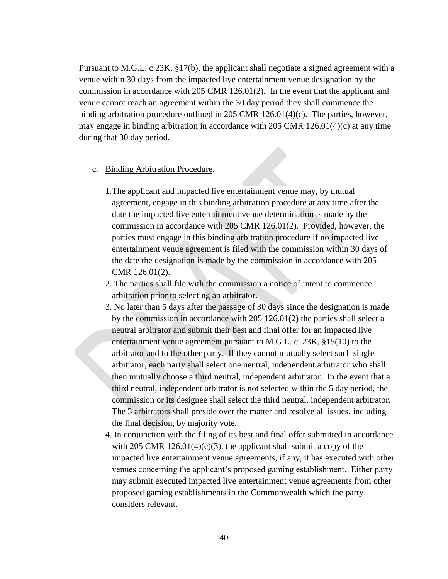Pursuant to M.G.L. c.23K, §17(b), the applicant shall negotiate a signed agreement with a venue within 30 days from the impacted live entertainment venue designation by the commission in accordance with 205 CMR 126.01(2). In the event that the applicant and venue cannot reach an agreement within the 30 day period they shall commence the binding arbitration procedure outlined in 205 CMR 126.01(4)(c). The parties, however, may engage in binding arbitration in accordance with 205 CMR 126.01(4)(c) at any time during that 30 day period.

- c. Binding Arbitration Procedure.
	- 1.The applicant and impacted live entertainment venue may, by mutual agreement, engage in this binding arbitration procedure at any time after the date the impacted live entertainment venue determination is made by the commission in accordance with 205 CMR 126.01(2). Provided, however, the parties must engage in this binding arbitration procedure if no impacted live entertainment venue agreement is filed with the commission within 30 days of the date the designation is made by the commission in accordance with 205 CMR 126.01(2).
	- 2. The parties shall file with the commission a notice of intent to commence arbitration prior to selecting an arbitrator.
	- 3. No later than 5 days after the passage of 30 days since the designation is made by the commission in accordance with 205 126.01(2) the parties shall select a neutral arbitrator and submit their best and final offer for an impacted live entertainment venue agreement pursuant to M.G.L. c. 23K, §15(10) to the arbitrator and to the other party. If they cannot mutually select such single arbitrator, each party shall select one neutral, independent arbitrator who shall then mutually choose a third neutral, independent arbitrator. In the event that a third neutral, independent arbitrator is not selected within the 5 day period, the commission or its designee shall select the third neutral, independent arbitrator. The 3 arbitrators shall preside over the matter and resolve all issues, including the final decision, by majority vote.
	- 4. In conjunction with the filing of its best and final offer submitted in accordance with 205 CMR  $126.01(4)(c)(3)$ , the applicant shall submit a copy of the impacted live entertainment venue agreements, if any, it has executed with other venues concerning the applicant"s proposed gaming establishment. Either party may submit executed impacted live entertainment venue agreements from other proposed gaming establishments in the Commonwealth which the party considers relevant.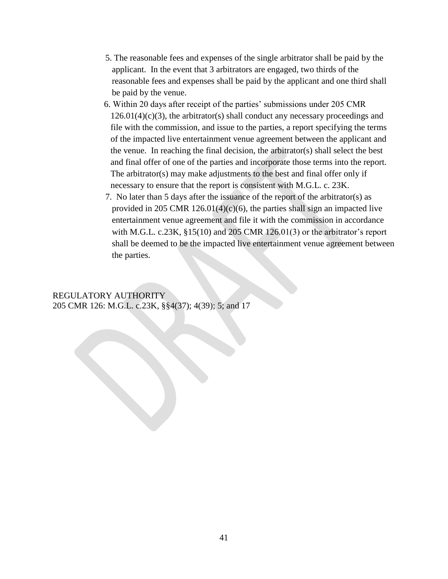- 5. The reasonable fees and expenses of the single arbitrator shall be paid by the applicant. In the event that 3 arbitrators are engaged, two thirds of the reasonable fees and expenses shall be paid by the applicant and one third shall be paid by the venue.
- 6. Within 20 days after receipt of the parties" submissions under 205 CMR  $126.01(4)(c)(3)$ , the arbitrator(s) shall conduct any necessary proceedings and file with the commission, and issue to the parties, a report specifying the terms of the impacted live entertainment venue agreement between the applicant and the venue. In reaching the final decision, the arbitrator(s) shall select the best and final offer of one of the parties and incorporate those terms into the report. The arbitrator(s) may make adjustments to the best and final offer only if necessary to ensure that the report is consistent with M.G.L. c. 23K.
- 7. No later than 5 days after the issuance of the report of the arbitrator(s) as provided in 205 CMR 126.01(4)(c)(6), the parties shall sign an impacted live entertainment venue agreement and file it with the commission in accordance with M.G.L. c.23K,  $\S15(10)$  and 205 CMR 126.01(3) or the arbitrator's report shall be deemed to be the impacted live entertainment venue agreement between the parties.

## REGULATORY AUTHORITY 205 CMR 126: M.G.L. c.23K, §§4(37); 4(39); 5; and 17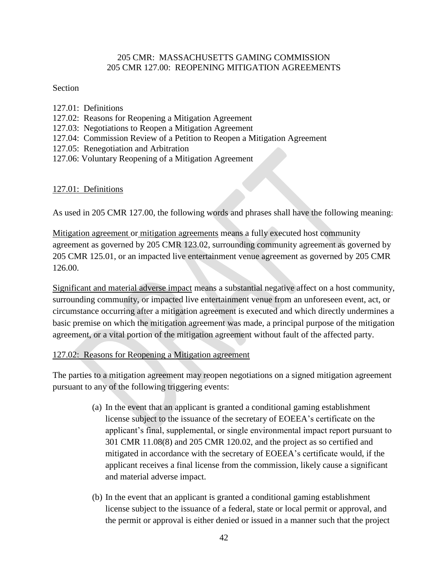### 205 CMR: MASSACHUSETTS GAMING COMMISSION 205 CMR 127.00: REOPENING MITIGATION AGREEMENTS

### Section

- 127.01: Definitions
- 127.02: Reasons for Reopening a Mitigation Agreement
- 127.03: Negotiations to Reopen a Mitigation Agreement
- 127.04: Commission Review of a Petition to Reopen a Mitigation Agreement
- 127.05: Renegotiation and Arbitration
- 127.06: Voluntary Reopening of a Mitigation Agreement

# 127.01: Definitions

As used in 205 CMR 127.00, the following words and phrases shall have the following meaning:

Mitigation agreement or mitigation agreements means a fully executed host community agreement as governed by 205 CMR 123.02, surrounding community agreement as governed by 205 CMR 125.01, or an impacted live entertainment venue agreement as governed by 205 CMR 126.00.

Significant and material adverse impact means a substantial negative affect on a host community, surrounding community, or impacted live entertainment venue from an unforeseen event, act, or circumstance occurring after a mitigation agreement is executed and which directly undermines a basic premise on which the mitigation agreement was made, a principal purpose of the mitigation agreement, or a vital portion of the mitigation agreement without fault of the affected party.

## 127.02: Reasons for Reopening a Mitigation agreement

The parties to a mitigation agreement may reopen negotiations on a signed mitigation agreement pursuant to any of the following triggering events:

- (a) In the event that an applicant is granted a conditional gaming establishment license subject to the issuance of the secretary of EOEEA"s certificate on the applicant"s final, supplemental, or single environmental impact report pursuant to 301 CMR 11.08(8) and 205 CMR 120.02, and the project as so certified and mitigated in accordance with the secretary of EOEEA"s certificate would, if the applicant receives a final license from the commission, likely cause a significant and material adverse impact.
- (b) In the event that an applicant is granted a conditional gaming establishment license subject to the issuance of a federal, state or local permit or approval, and the permit or approval is either denied or issued in a manner such that the project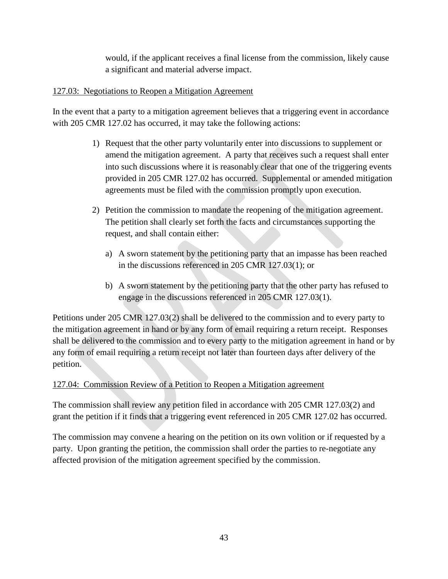would, if the applicant receives a final license from the commission, likely cause a significant and material adverse impact.

# 127.03: Negotiations to Reopen a Mitigation Agreement

In the event that a party to a mitigation agreement believes that a triggering event in accordance with 205 CMR 127.02 has occurred, it may take the following actions:

- 1) Request that the other party voluntarily enter into discussions to supplement or amend the mitigation agreement. A party that receives such a request shall enter into such discussions where it is reasonably clear that one of the triggering events provided in 205 CMR 127.02 has occurred. Supplemental or amended mitigation agreements must be filed with the commission promptly upon execution.
- 2) Petition the commission to mandate the reopening of the mitigation agreement. The petition shall clearly set forth the facts and circumstances supporting the request, and shall contain either:
	- a) A sworn statement by the petitioning party that an impasse has been reached in the discussions referenced in 205 CMR 127.03(1); or
	- b) A sworn statement by the petitioning party that the other party has refused to engage in the discussions referenced in 205 CMR 127.03(1).

Petitions under 205 CMR 127.03(2) shall be delivered to the commission and to every party to the mitigation agreement in hand or by any form of email requiring a return receipt. Responses shall be delivered to the commission and to every party to the mitigation agreement in hand or by any form of email requiring a return receipt not later than fourteen days after delivery of the petition.

# 127.04: Commission Review of a Petition to Reopen a Mitigation agreement

The commission shall review any petition filed in accordance with 205 CMR 127.03(2) and grant the petition if it finds that a triggering event referenced in 205 CMR 127.02 has occurred.

The commission may convene a hearing on the petition on its own volition or if requested by a party. Upon granting the petition, the commission shall order the parties to re-negotiate any affected provision of the mitigation agreement specified by the commission.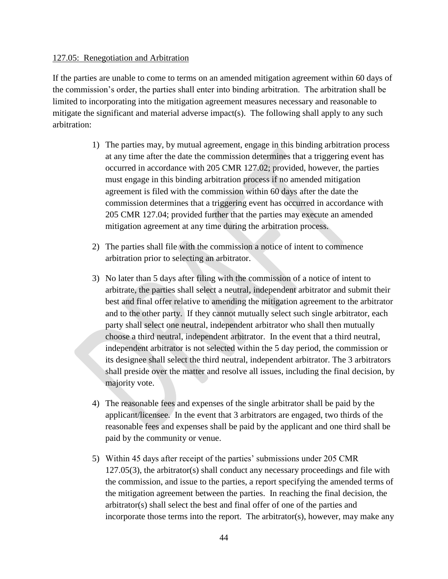### 127.05: Renegotiation and Arbitration

If the parties are unable to come to terms on an amended mitigation agreement within 60 days of the commission"s order, the parties shall enter into binding arbitration. The arbitration shall be limited to incorporating into the mitigation agreement measures necessary and reasonable to mitigate the significant and material adverse impact(s). The following shall apply to any such arbitration:

- 1) The parties may, by mutual agreement, engage in this binding arbitration process at any time after the date the commission determines that a triggering event has occurred in accordance with 205 CMR 127.02; provided, however, the parties must engage in this binding arbitration process if no amended mitigation agreement is filed with the commission within 60 days after the date the commission determines that a triggering event has occurred in accordance with 205 CMR 127.04; provided further that the parties may execute an amended mitigation agreement at any time during the arbitration process.
- 2) The parties shall file with the commission a notice of intent to commence arbitration prior to selecting an arbitrator.
- 3) No later than 5 days after filing with the commission of a notice of intent to arbitrate, the parties shall select a neutral, independent arbitrator and submit their best and final offer relative to amending the mitigation agreement to the arbitrator and to the other party. If they cannot mutually select such single arbitrator, each party shall select one neutral, independent arbitrator who shall then mutually choose a third neutral, independent arbitrator. In the event that a third neutral, independent arbitrator is not selected within the 5 day period, the commission or its designee shall select the third neutral, independent arbitrator. The 3 arbitrators shall preside over the matter and resolve all issues, including the final decision, by majority vote.
- 4) The reasonable fees and expenses of the single arbitrator shall be paid by the applicant/licensee. In the event that 3 arbitrators are engaged, two thirds of the reasonable fees and expenses shall be paid by the applicant and one third shall be paid by the community or venue.
- 5) Within 45 days after receipt of the parties" submissions under 205 CMR 127.05(3), the arbitrator(s) shall conduct any necessary proceedings and file with the commission, and issue to the parties, a report specifying the amended terms of the mitigation agreement between the parties. In reaching the final decision, the arbitrator(s) shall select the best and final offer of one of the parties and incorporate those terms into the report. The arbitrator(s), however, may make any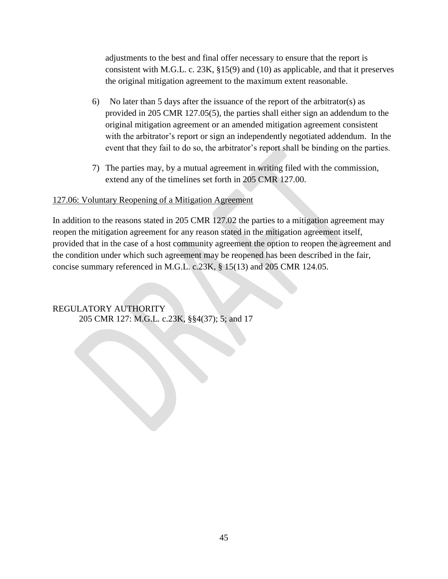adjustments to the best and final offer necessary to ensure that the report is consistent with M.G.L. c. 23K, §15(9) and (10) as applicable, and that it preserves the original mitigation agreement to the maximum extent reasonable.

- 6) No later than 5 days after the issuance of the report of the arbitrator(s) as provided in 205 CMR 127.05(5), the parties shall either sign an addendum to the original mitigation agreement or an amended mitigation agreement consistent with the arbitrator's report or sign an independently negotiated addendum. In the event that they fail to do so, the arbitrator's report shall be binding on the parties.
- 7) The parties may, by a mutual agreement in writing filed with the commission, extend any of the timelines set forth in 205 CMR 127.00.

### 127.06: Voluntary Reopening of a Mitigation Agreement

In addition to the reasons stated in 205 CMR 127.02 the parties to a mitigation agreement may reopen the mitigation agreement for any reason stated in the mitigation agreement itself, provided that in the case of a host community agreement the option to reopen the agreement and the condition under which such agreement may be reopened has been described in the fair, concise summary referenced in M.G.L. c.23K, § 15(13) and 205 CMR 124.05.

REGULATORY AUTHORITY 205 CMR 127: M.G.L. c.23K, §§4(37); 5; and 17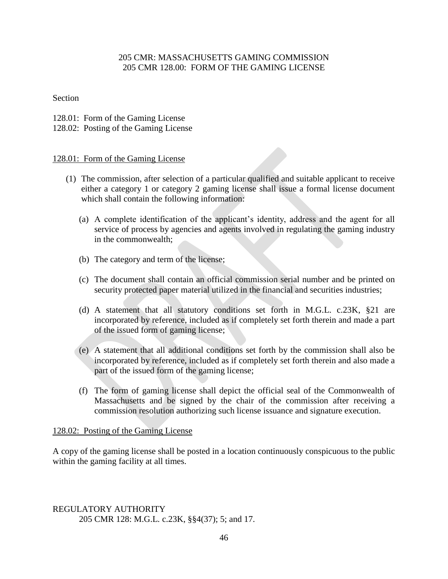### 205 CMR: MASSACHUSETTS GAMING COMMISSION 205 CMR 128.00: FORM OF THE GAMING LICENSE

### Section

- 128.01: Form of the Gaming License
- 128.02: Posting of the Gaming License

### 128.01: Form of the Gaming License

- (1) The commission, after selection of a particular qualified and suitable applicant to receive either a category 1 or category 2 gaming license shall issue a formal license document which shall contain the following information:
	- (a) A complete identification of the applicant"s identity, address and the agent for all service of process by agencies and agents involved in regulating the gaming industry in the commonwealth;
	- (b) The category and term of the license;
	- (c) The document shall contain an official commission serial number and be printed on security protected paper material utilized in the financial and securities industries;
	- (d) A statement that all statutory conditions set forth in M.G.L. c.23K, §21 are incorporated by reference, included as if completely set forth therein and made a part of the issued form of gaming license;
	- (e) A statement that all additional conditions set forth by the commission shall also be incorporated by reference, included as if completely set forth therein and also made a part of the issued form of the gaming license;
	- (f) The form of gaming license shall depict the official seal of the Commonwealth of Massachusetts and be signed by the chair of the commission after receiving a commission resolution authorizing such license issuance and signature execution.

### 128.02: Posting of the Gaming License

A copy of the gaming license shall be posted in a location continuously conspicuous to the public within the gaming facility at all times.

REGULATORY AUTHORITY 205 CMR 128: M.G.L. c.23K, §§4(37); 5; and 17.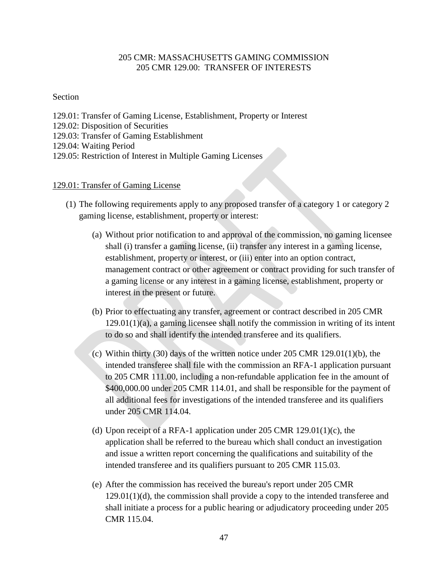## 205 CMR: MASSACHUSETTS GAMING COMMISSION 205 CMR 129.00: TRANSFER OF INTERESTS

### Section

129.01: Transfer of Gaming License, Establishment, Property or Interest 129.02: Disposition of Securities 129.03: Transfer of Gaming Establishment 129.04: Waiting Period 129.05: Restriction of Interest in Multiple Gaming Licenses

#### 129.01: Transfer of Gaming License

- (1) The following requirements apply to any proposed transfer of a category 1 or category 2 gaming license, establishment, property or interest:
	- (a) Without prior notification to and approval of the commission, no gaming licensee shall (i) transfer a gaming license, (ii) transfer any interest in a gaming license, establishment, property or interest, or (iii) enter into an option contract, management contract or other agreement or contract providing for such transfer of a gaming license or any interest in a gaming license, establishment, property or interest in the present or future.
	- (b) Prior to effectuating any transfer, agreement or contract described in 205 CMR 129.01(1)(a), a gaming licensee shall notify the commission in writing of its intent to do so and shall identify the intended transferee and its qualifiers.
	- (c) Within thirty (30) days of the written notice under 205 CMR 129.01(1)(b), the intended transferee shall file with the commission an RFA-1 application pursuant to 205 CMR 111.00, including a non-refundable application fee in the amount of \$400,000.00 under 205 CMR 114.01, and shall be responsible for the payment of all additional fees for investigations of the intended transferee and its qualifiers under 205 CMR 114.04.
	- (d) Upon receipt of a RFA-1 application under  $205$  CMR  $129.01(1)(c)$ , the application shall be referred to the bureau which shall conduct an investigation and issue a written report concerning the qualifications and suitability of the intended transferee and its qualifiers pursuant to 205 CMR 115.03.
	- (e) After the commission has received the bureau's report under 205 CMR 129.01(1)(d), the commission shall provide a copy to the intended transferee and shall initiate a process for a public hearing or adjudicatory proceeding under 205 CMR 115.04.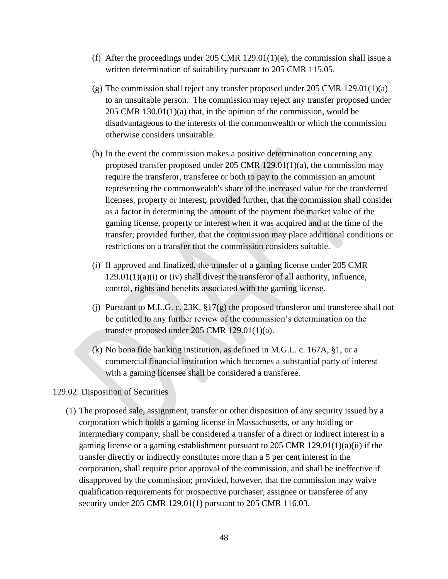- (f) After the proceedings under 205 CMR 129.01(1)(e), the commission shall issue a written determination of suitability pursuant to 205 CMR 115.05.
- (g) The commission shall reject any transfer proposed under 205 CMR 129.01(1)(a) to an unsuitable person. The commission may reject any transfer proposed under 205 CMR 130.01(1)(a) that, in the opinion of the commission, would be disadvantageous to the interests of the commonwealth or which the commission otherwise considers unsuitable.
- (h) In the event the commission makes a positive determination concerning any proposed transfer proposed under 205 CMR 129.01(1)(a), the commission may require the transferor, transferee or both to pay to the commission an amount representing the commonwealth's share of the increased value for the transferred licenses, property or interest; provided further, that the commission shall consider as a factor in determining the amount of the payment the market value of the gaming license, property or interest when it was acquired and at the time of the transfer; provided further, that the commission may place additional conditions or restrictions on a transfer that the commission considers suitable.
- (i) If approved and finalized, the transfer of a gaming license under 205 CMR  $129.01(1)(a)(i)$  or (iv) shall divest the transferor of all authority, influence, control, rights and benefits associated with the gaming license.
- (j) Pursuant to M.L.G. c. 23K, §17(g) the proposed transferor and transferee shall not be entitled to any further review of the commission"s determination on the transfer proposed under 205 CMR 129.01(1)(a).
- (k) No bona fide banking institution, as defined in M.G.L. c. 167A, §1, or a commercial financial institution which becomes a substantial party of interest with a gaming licensee shall be considered a transferee.

### 129.02: Disposition of Securities

(1) The proposed sale, assignment, transfer or other disposition of any security issued by a corporation which holds a gaming license in Massachusetts, or any holding or intermediary company, shall be considered a transfer of a direct or indirect interest in a gaming license or a gaming establishment pursuant to 205 CMR  $129.01(1)(a)(ii)$  if the transfer directly or indirectly constitutes more than a 5 per cent interest in the corporation, shall require prior approval of the commission, and shall be ineffective if disapproved by the commission; provided, however, that the commission may waive qualification requirements for prospective purchaser, assignee or transferee of any security under 205 CMR 129.01(1) pursuant to 205 CMR 116.03.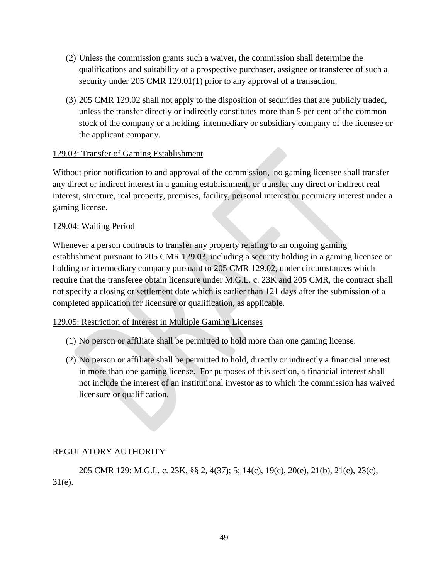- (2) Unless the commission grants such a waiver, the commission shall determine the qualifications and suitability of a prospective purchaser, assignee or transferee of such a security under 205 CMR 129.01(1) prior to any approval of a transaction.
- (3) 205 CMR 129.02 shall not apply to the disposition of securities that are publicly traded, unless the transfer directly or indirectly constitutes more than 5 per cent of the common stock of the company or a holding, intermediary or subsidiary company of the licensee or the applicant company.

### 129.03: Transfer of Gaming Establishment

Without prior notification to and approval of the commission, no gaming licensee shall transfer any direct or indirect interest in a gaming establishment, or transfer any direct or indirect real interest, structure, real property, premises, facility, personal interest or pecuniary interest under a gaming license.

### 129.04: Waiting Period

Whenever a person contracts to transfer any property relating to an ongoing gaming establishment pursuant to 205 CMR 129.03, including a security holding in a gaming licensee or holding or intermediary company pursuant to 205 CMR 129.02, under circumstances which require that the transferee obtain licensure under M.G.L. c. 23K and 205 CMR, the contract shall not specify a closing or settlement date which is earlier than 121 days after the submission of a completed application for licensure or qualification, as applicable.

### 129.05: Restriction of Interest in Multiple Gaming Licenses

- (1) No person or affiliate shall be permitted to hold more than one gaming license.
- (2) No person or affiliate shall be permitted to hold, directly or indirectly a financial interest in more than one gaming license. For purposes of this section, a financial interest shall not include the interest of an institutional investor as to which the commission has waived licensure or qualification.

## REGULATORY AUTHORITY

205 CMR 129: M.G.L. c. 23K, §§ 2, 4(37); 5; 14(c), 19(c), 20(e), 21(b), 21(e), 23(c), 31(e).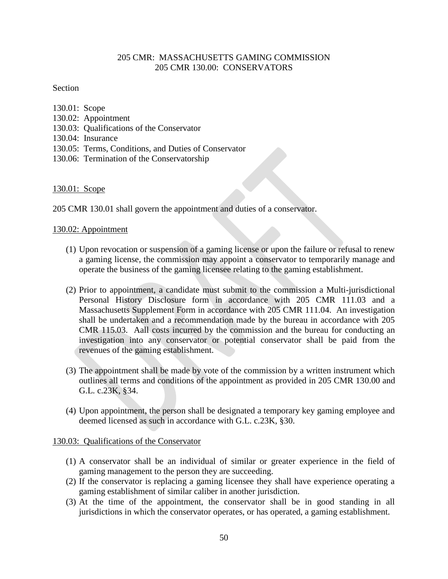## 205 CMR: MASSACHUSETTS GAMING COMMISSION 205 CMR 130.00: CONSERVATORS

#### Section

| 130.01: Scope |                                                      |
|---------------|------------------------------------------------------|
|               | 130.02: Appointment                                  |
|               | 130.03: Qualifications of the Conservator            |
|               | 130.04: Insurance                                    |
|               | 130.05: Terms, Conditions, and Duties of Conservator |
|               | 130.06: Termination of the Conservatorship           |
|               |                                                      |

130.01: Scope

205 CMR 130.01 shall govern the appointment and duties of a conservator.

#### 130.02: Appointment

- (1) Upon revocation or suspension of a gaming license or upon the failure or refusal to renew a gaming license, the commission may appoint a conservator to temporarily manage and operate the business of the gaming licensee relating to the gaming establishment.
- (2) Prior to appointment, a candidate must submit to the commission a Multi-jurisdictional Personal History Disclosure form in accordance with 205 CMR 111.03 and a Massachusetts Supplement Form in accordance with 205 CMR 111.04. An investigation shall be undertaken and a recommendation made by the bureau in accordance with 205 CMR 115.03. Aall costs incurred by the commission and the bureau for conducting an investigation into any conservator or potential conservator shall be paid from the revenues of the gaming establishment.
- (3) The appointment shall be made by vote of the commission by a written instrument which outlines all terms and conditions of the appointment as provided in 205 CMR 130.00 and G.L. c.23K, §34.
- (4) Upon appointment, the person shall be designated a temporary key gaming employee and deemed licensed as such in accordance with G.L. c.23K, §30.

#### 130.03: Qualifications of the Conservator

- (1) A conservator shall be an individual of similar or greater experience in the field of gaming management to the person they are succeeding.
- (2) If the conservator is replacing a gaming licensee they shall have experience operating a gaming establishment of similar caliber in another jurisdiction.
- (3) At the time of the appointment, the conservator shall be in good standing in all jurisdictions in which the conservator operates, or has operated, a gaming establishment.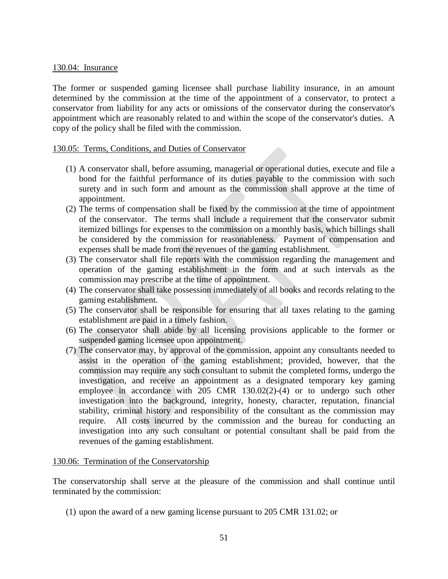#### 130.04: Insurance

The former or suspended gaming licensee shall purchase liability insurance, in an amount determined by the commission at the time of the appointment of a conservator, to protect a conservator from liability for any acts or omissions of the conservator during the conservator's appointment which are reasonably related to and within the scope of the conservator's duties. A copy of the policy shall be filed with the commission.

#### 130.05: Terms, Conditions, and Duties of Conservator

- (1) A conservator shall, before assuming, managerial or operational duties, execute and file a bond for the faithful performance of its duties payable to the commission with such surety and in such form and amount as the commission shall approve at the time of appointment.
- (2) The terms of compensation shall be fixed by the commission at the time of appointment of the conservator. The terms shall include a requirement that the conservator submit itemized billings for expenses to the commission on a monthly basis, which billings shall be considered by the commission for reasonableness. Payment of compensation and expenses shall be made from the revenues of the gaming establishment.
- (3) The conservator shall file reports with the commission regarding the management and operation of the gaming establishment in the form and at such intervals as the commission may prescribe at the time of appointment.
- (4) The conservator shall take possession immediately of all books and records relating to the gaming establishment.
- (5) The conservator shall be responsible for ensuring that all taxes relating to the gaming establishment are paid in a timely fashion.
- (6) The conservator shall abide by all licensing provisions applicable to the former or suspended gaming licensee upon appointment.
- (7) The conservator may, by approval of the commission, appoint any consultants needed to assist in the operation of the gaming establishment; provided, however, that the commission may require any such consultant to submit the completed forms, undergo the investigation, and receive an appointment as a designated temporary key gaming employee in accordance with 205 CMR 130.02(2)-(4) or to undergo such other investigation into the background, integrity, honesty, character, reputation, financial stability, criminal history and responsibility of the consultant as the commission may require. All costs incurred by the commission and the bureau for conducting an investigation into any such consultant or potential consultant shall be paid from the revenues of the gaming establishment.

#### 130.06: Termination of the Conservatorship

The conservatorship shall serve at the pleasure of the commission and shall continue until terminated by the commission:

(1) upon the award of a new gaming license pursuant to 205 CMR 131.02; or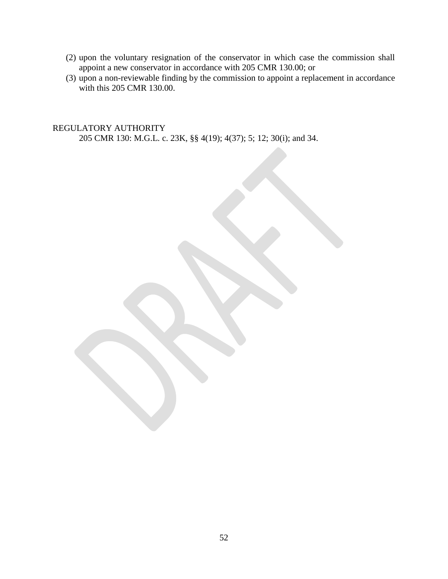- (2) upon the voluntary resignation of the conservator in which case the commission shall appoint a new conservator in accordance with 205 CMR 130.00; or
- (3) upon a non-reviewable finding by the commission to appoint a replacement in accordance with this 205 CMR 130.00.

REGULATORY AUTHORITY 205 CMR 130: M.G.L. c. 23K, §§ 4(19); 4(37); 5; 12; 30(i); and 34.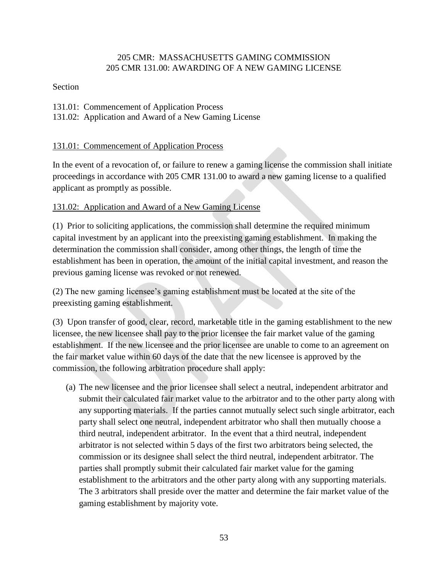## 205 CMR: MASSACHUSETTS GAMING COMMISSION 205 CMR 131.00: AWARDING OF A NEW GAMING LICENSE

## Section

- 131.01: Commencement of Application Process
- 131.02: Application and Award of a New Gaming License

# 131.01: Commencement of Application Process

In the event of a revocation of, or failure to renew a gaming license the commission shall initiate proceedings in accordance with 205 CMR 131.00 to award a new gaming license to a qualified applicant as promptly as possible.

# 131.02: Application and Award of a New Gaming License

(1) Prior to soliciting applications, the commission shall determine the required minimum capital investment by an applicant into the preexisting gaming establishment. In making the determination the commission shall consider, among other things, the length of time the establishment has been in operation, the amount of the initial capital investment, and reason the previous gaming license was revoked or not renewed.

(2) The new gaming licensee"s gaming establishment must be located at the site of the preexisting gaming establishment.

(3) Upon transfer of good, clear, record, marketable title in the gaming establishment to the new licensee, the new licensee shall pay to the prior licensee the fair market value of the gaming establishment. If the new licensee and the prior licensee are unable to come to an agreement on the fair market value within 60 days of the date that the new licensee is approved by the commission, the following arbitration procedure shall apply:

(a) The new licensee and the prior licensee shall select a neutral, independent arbitrator and submit their calculated fair market value to the arbitrator and to the other party along with any supporting materials. If the parties cannot mutually select such single arbitrator, each party shall select one neutral, independent arbitrator who shall then mutually choose a third neutral, independent arbitrator. In the event that a third neutral, independent arbitrator is not selected within 5 days of the first two arbitrators being selected, the commission or its designee shall select the third neutral, independent arbitrator. The parties shall promptly submit their calculated fair market value for the gaming establishment to the arbitrators and the other party along with any supporting materials. The 3 arbitrators shall preside over the matter and determine the fair market value of the gaming establishment by majority vote.